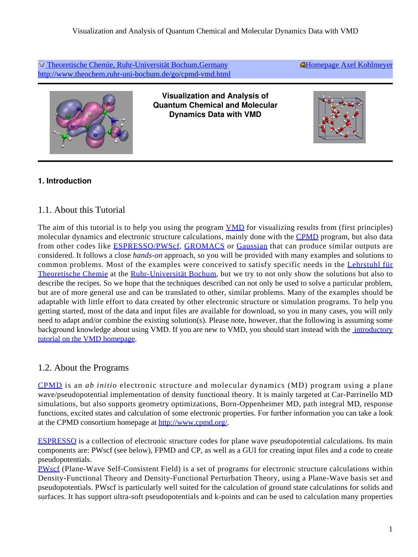[Theoretische Chemie, Ruhr-Universität Bochum,Germany](http://www.theochem.ruhr-uni-bochum.de/home.en.html) <http://www.theochem.ruhr-uni-bochum.de/go/cpmd-vmd.html> **A**Homepage Axel Kohlmeyer



**Visualization and Analysis of Quantum Chemical and Molecular Dynamics Data with VMD**



### <span id="page-0-0"></span>**1. Introduction**

## <span id="page-0-1"></span>1.1. About this Tutorial

The aim of this tutorial is to help you using the program **[VMD](http://www.ks.uiuc.edu/Research/vmd/)** for visualizing results from (first principles) molecular dynamics and electronic structure calculations, mainly done with the [CPMD](http://www.cpmd.org/) program, but also data from other codes like [ESPRESSO/PWSc](http://www.pwscf.org/)f, [GROMACS](http://www.gromacs.org/) or [Gaussian](http://www.gaussian.com/) that can produce similar outputs are considered. It follows a close *hands-on* approach, so you will be provided with many examples and solutions to common problems. Most of the examples were conceived to satisfy specific needs in the [Lehrstuh](http://www.theochem.ruhr-uni-bochum.de/)l [für](http://www.theochem.ruhr-uni-bochum.de/) [Theoretische Chemie](http://www.theochem.ruhr-uni-bochum.de/) at the [Ruhr-Universitä](http://www.ruhr-uni-bochum.de/)t [Bochum](http://www.ruhr-uni-bochum.de/), but we try to not only show the solutions but also to describe the recipes. So we hope that the techniques described can not only be used to solve a particular problem, but are of more general use and can be translated to other, similar problems. Many of the examples should be adaptable with little effort to data created by other electronic structure or simulation programs. To help you getting started, most of the data and input files are available for download, so you in many cases, you will only need to adapt and/or combine the existing solution(s). Please note, however, that the following is assuming some background knowledge about using VMD. If you are new to VMD, you should start instead with the [introductory](http://www.ks.uiuc.edu/Training/Tutorials/vmd/tutorial-html/vmd-tutorial.html) [tutorial on the VMD homepage](http://www.ks.uiuc.edu/Training/Tutorials/vmd/tutorial-html/vmd-tutorial.html).

### <span id="page-0-2"></span>1.2. About the Programs

[CPMD](http://www.cpmd.org/) is an *ab initio* electronic structure and molecular dynamics (MD) program using a plane wave/pseudopotential implementation of density functional theory. It is mainly targeted at Car-Parrinello MD simulations, but also supports geometry optimizations, Born-Oppenheimer MD, path integral MD, response functions, excited states and calculation of some electronic properties. For further information you can take a look at the CPMD consortium homepage at [http://www.cpmd.org/.](http://www.cpmd.org/)

[ESPRESSO](http://www.democritos.it/scientific.php) is a collection of electronic structure codes for plane wave pseudopotential calculations. Its main components are: PWscf (see below), FPMD and CP, as well as a GUI for creating input files and a code to create pseudopotentials.

[PWscf](http://www.pwscf.org/) (Plane-Wave Self-Consistent Field) is a set of programs for electronic structure calculations within Density-Functional Theory and Density-Functional Perturbation Theory, using a Plane-Wave basis set and pseudopotentials. PWscf is particularly well suited for the calculation of ground state calculations for solids and surfaces. It has support ultra-soft pseudopotentials and k-points and can be used to calculation many properties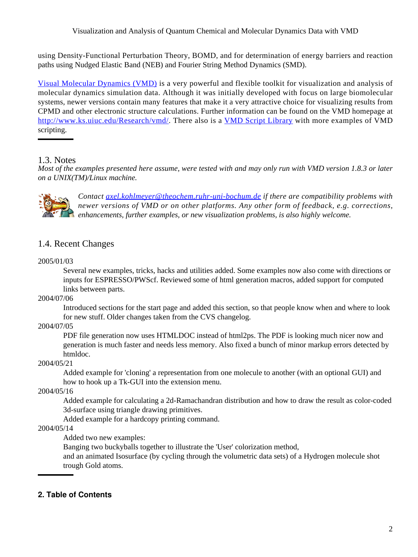using Density-Functional Perturbation Theory, BOMD, and for determination of energy barriers and reaction paths using Nudged Elastic Band (NEB) and Fourier String Method Dynamics (SMD).

[Visual Molecular Dynamics \(VMD\)](http://www.ks.uiuc.edu/Research/vmd/) is a very powerful and flexible toolkit for visualization and analysis of molecular dynamics simulation data. Although it was initially developed with focus on large biomolecular systems, newer versions contain many features that make it a very attractive choice for visualizing results from CPMD and other electronic structure calculations. Further information can be found on the VMD homepage at [http://www.ks.uiuc.edu/Research/vm](http://www.ks.uiuc.edu/Research/vmd/)d/. There also is a [VMD Script Library](http://www.ks.uiuc.edu/Research/vmd/script_library/) with more examples of VMD scripting.

### <span id="page-1-0"></span>1.3. Notes

*Most of the examples presented here assume, were tested with and may only run with VMD version 1.8.3 or later on a UNIX(TM)/Linux machine.*



*Contact [axel.kohlmeyer@theochem.ruhr-uni-bochum.d](mailto:axel.kohlmeyer@theochem.ruhr-uni-bochum.de)e if there are compatibility problems with newer versions of VMD or on other platforms. Any other form of feedback, e.g. corrections, enhancements, further examples, or new visualization problems, is also highly welcome.*

## <span id="page-1-1"></span>1.4. Recent Changes

#### 2005/01/03

Several new examples, tricks, hacks and utilities added. Some examples now also come with directions or inputs for ESPRESSO/PWScf. Reviewed some of html generation macros, added support for computed links between parts.

2004/07/06

Introduced sections for the start page and added this section, so that people know when and where to look for new stuff. Older changes taken from the CVS changelog.

#### 2004/07/05

PDF file generation now uses HTMLDOC instead of html2ps. The PDF is looking much nicer now and generation is much faster and needs less memory. Also fixed a bunch of minor markup errors detected by htmldoc.

#### 2004/05/21

Added example for 'cloning' a representation from one molecule to another (with an optional GUI) and how to hook up a Tk-GUI into the extension menu.

2004/05/16

Added example for calculating a 2d-Ramachandran distribution and how to draw the result as color-coded 3d-surface using triangle drawing primitives.

Added example for a hardcopy printing command.

#### 2004/05/14

Added two new examples:

Banging two buckyballs together to illustrate the 'User' colorization method,

and an animated Isosurface (by cycling through the volumetric data sets) of a Hydrogen molecule shot trough Gold atoms.

### <span id="page-1-2"></span>**2. Table of Contents**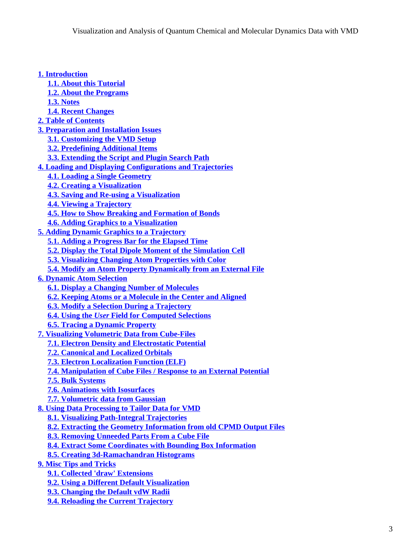| 1. Introduction                                                            |  |
|----------------------------------------------------------------------------|--|
| <b>1.1. About this Tutorial</b>                                            |  |
| <b>1.2. About the Programs</b>                                             |  |
| <b>1.3. Notes</b>                                                          |  |
| <b>1.4. Recent Changes</b>                                                 |  |
| <b>2. Table of Contents</b>                                                |  |
| <b>3. Preparation and Installation Issues</b>                              |  |
| <b>3.1. Customizing the VMD Setup</b>                                      |  |
| <b>3.2. Predefining Additional Items</b>                                   |  |
| <b>3.3. Extending the Script and Plugin Search Path</b>                    |  |
| <b>4. Loading and Displaying Configurations and Trajectories</b>           |  |
| <b>4.1. Loading a Single Geometry</b>                                      |  |
| <b>4.2. Creating a Visualization</b>                                       |  |
| <b>4.3. Saving and Re-using a Visualization</b>                            |  |
| <b>4.4. Viewing a Trajectory</b>                                           |  |
| <b>4.5. How to Show Breaking and Formation of Bonds</b>                    |  |
| <b>4.6. Adding Graphics to a Visualization</b>                             |  |
| <b>5. Adding Dynamic Graphics to a Trajectory</b>                          |  |
| <b>5.1. Adding a Progress Bar for the Elapsed Time</b>                     |  |
| <b>5.2. Display the Total Dipole Moment of the Simulation Cell</b>         |  |
| <b>5.3. Visualizing Changing Atom Properties with Color</b>                |  |
| 5.4. Modify an Atom Property Dynamically from an External File             |  |
| <b>6. Dynamic Atom Selection</b>                                           |  |
| <b>6.1. Display a Changing Number of Molecules</b>                         |  |
| <b>6.2. Keeping Atoms or a Molecule in the Center and Aligned</b>          |  |
| <b>6.3. Modify a Selection During a Trajectory</b>                         |  |
| <b>6.4. Using the User Field for Computed Selections</b>                   |  |
| <b>6.5. Tracing a Dynamic Property</b>                                     |  |
| <b>7. Visualizing Volumetric Data from Cube-Files</b>                      |  |
| <b>7.1. Electron Density and Electrostatic Potential</b>                   |  |
| <b>7.2. Canonical and Localized Orbitals</b>                               |  |
| <b>7.3. Electron Localization Function (ELF)</b>                           |  |
| <b>7.4. Manipulation of Cube Files / Response to an External Potential</b> |  |
| <b>7.5. Bulk Systems</b>                                                   |  |
| <b>7.6. Animations with Isosurfaces</b>                                    |  |
| <b>7.7. Volumetric data from Gaussian</b>                                  |  |
| <b>8. Using Data Processing to Tailor Data for VMD</b>                     |  |
| <b>8.1. Visualizing Path-Integral Trajectories</b>                         |  |
| <b>8.2. Extracting the Geometry Information from old CPMD Output Files</b> |  |
| <b>8.3. Removing Unneeded Parts From a Cube File</b>                       |  |
| <b>8.4. Extract Some Coordinates with Bounding Box Information</b>         |  |
| <b>8.5. Creating 3d-Ramachandran Histograms</b>                            |  |
| <b>9. Misc Tips and Tricks</b>                                             |  |
| <b>9.1. Collected 'draw' Extensions</b>                                    |  |
| <b>9.2. Using a Different Default Visualization</b>                        |  |
| <b>9.3. Changing the Default vdW Radii</b>                                 |  |
| <b>9.4. Reloading the Current Trajectory</b>                               |  |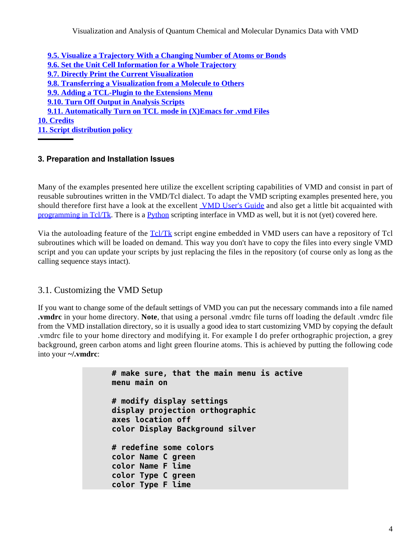Visualization and Analysis of Quantum Chemical and Molecular Dynamics Data with VMD

**[9.5. Visualize a Trajectory With a Changing Number of Atoms or Bonds](#page-34-1) [9.6. Set the Unit Cell Information for a Whole Trajectory](#page-35-0) [9.7. Directly Print the Current Visualization](#page-36-0) [9.8. Transferring a Visualization from a Molecule to Others](#page-37-0) [9.9. Adding a TCL-Plugin to the Extensions Menu](#page-37-1) [9.10. Turn Off Output in Analysis Scripts](#page-38-0) [9.11. Automatically Turn on TCL mode in \(X\)Emacs for .vmd Files](#page-39-0) [10. Credits](#page-39-1) [11. Script distribution policy](#page-41-0)**

### <span id="page-3-0"></span>**3. Preparation and Installation Issues**

Many of the examples presented here utilize the excellent scripting capabilities of VMD and consist in part of reusable subroutines written in the VMD/Tcl dialect. To adapt the VMD scripting examples presented here, you should therefore first have a look at the excellent **VMD** User's Guide and also get a little bit acquainted with [programming in Tcl/Tk.](http://phaseit.net/claird/comp.lang.tcl/tcl_tutorials.html) There is a [Python](http://www.python.org/) scripting interface in VMD as well, but it is not (yet) covered here.

Via the autoloading feature of the [Tcl/Tk](http://www.tcl.tk/) script engine embedded in VMD users can have a repository of Tcl subroutines which will be loaded on demand. This way you don't have to copy the files into every single VMD script and you can update your scripts by just replacing the files in the repository (of course only as long as the calling sequence stays intact).

### <span id="page-3-1"></span>3.1. Customizing the VMD Setup

If you want to change some of the default settings of VMD you can put the necessary commands into a file named **.vmdrc** in your home directory. **Note**, that using a personal .vmdrc file turns off loading the default .vmdrc file from the VMD installation directory, so it is usually a good idea to start customizing VMD by copying the default .vmdrc file to your home directory and modifying it. For example I do prefer orthographic projection, a grey background, green carbon atoms and light green flourine atoms. This is achieved by putting the following code into your **~/.vmdrc**:

```
# make sure, that the main menu is active
menu main on
# modify display settings
display projection orthographic
axes location off
color Display Background silver
# redefine some colors
color Name C green
color Name F lime
color Type C green
color Type F lime
```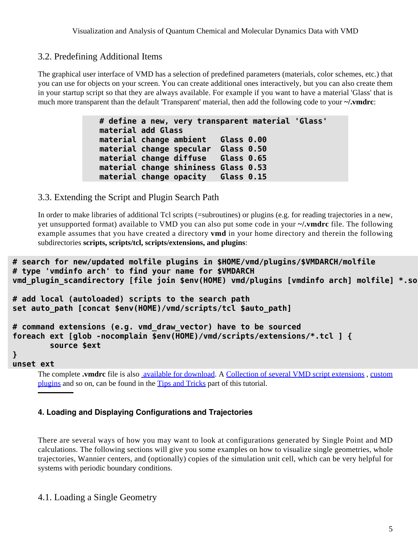## <span id="page-4-0"></span>3.2. Predefining Additional Items

The graphical user interface of VMD has a selection of predefined parameters (materials, color schemes, etc.) that you can use for objects on your screen. You can create additional ones interactively, but you can also create them in your startup script so that they are always available. For example if you want to have a material 'Glass' that is much more transparent than the default 'Transparent' material, then add the following code to your **~/.vmdrc**:

> **# define a new, very transparent material 'Glass' material add Glass material change ambient Glass 0.00 material change specular Glass 0.50 material change diffuse Glass 0.65 material change shininess Glass 0.53 material change opacity Glass 0.15**

### <span id="page-4-4"></span><span id="page-4-1"></span>3.3. Extending the Script and Plugin Search Path

In order to make libraries of additional Tcl scripts (=subroutines) or plugins (e.g. for reading trajectories in a new, yet unsupported format) available to VMD you can also put some code in your **~/.vmdrc** file. The following example assumes that you have created a directory **vmd** in your home directory and therein the following subdirectories **scripts, scripts/tcl, scripts/extensions, and plugins**:

```
# search for new/updated molfile plugins in $HOME/vmd/plugins/$VMDARCH/molfile
# type 'vmdinfo arch' to find your name for $VMDARCH
vmd_plugin_scandirectory [file join $env(HOME) vmd/plugins [vmdinfo arch] molfile] *.so
# add local (autoloaded) scripts to the search path
set auto_path [concat $env(HOME)/vmd/scripts/tcl $auto_path]
# command extensions (e.g. vmd_draw_vector) have to be sourced
foreach ext [glob -nocomplain $env(HOME)/vmd/scripts/extensions/*.tcl ] {
         source $ext
}
unset ext
```
The complete **.vmdrc** file is also available for download. A [Collection of several VMD script extensions](#page-28-2) , [custom](#page-37-2) [plugins](#page-37-2) and so on, can be found in the [Tips and Tricks](#page-28-3) part of this tutorial.

#### <span id="page-4-2"></span>**4. Loading and Displaying Configurations and Trajectories**

There are several ways of how you may want to look at configurations generated by Single Point and MD calculations. The following sections will give you some examples on how to visualize single geometries, whole trajectories, Wannier centers, and (optionally) copies of the simulation unit cell, which can be very helpful for systems with periodic boundary conditions.

### <span id="page-4-3"></span>4.1. Loading a Single Geometry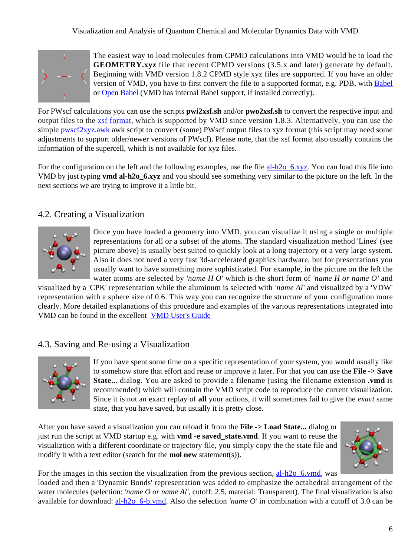#### Visualization and Analysis of Quantum Chemical and Molecular Dynamics Data with VMD



The easiest way to load molecules from CPMD calculations into VMD would be to load the **GEOMETRY.xyz** file that recent CPMD versions (3.5.x and later) generate by default. Beginning with VMD version 1.8.2 CPMD style xyz files are supported. If you have an older version of VMD, you have to first convert the file to a supported format, e.g. PDB, with [Babel](http://smog.com/chem/babel/) or [Open Babel](http://openbabel.sourceforge.net/) (VMD has internal Babel support, if installed correctly).

For PWscf calculations you can use the scripts **pwi2xsf.sh** and/or **pwo2xsf.sh** to convert the respective input and output files to the [xsf format](http://www.xcrysden.org/doc/XSF.html), which is supported by VMD since version 1.8.3. Alternatively, you can use the simple  $pwscf2xyz, awk$  awk script to convert (some) PWscf output files to xyz format (this script may need some adjustments to support older/newer versions of PWscf). Please note, that the xsf format also usually contains the information of the supercell, which is not available for xyz files.

For the configuration on the left and the following examples, use the file al-h2o\_6.xyz. You can load this file into VMD by just typing **vmd al-h2o\_6.xyz** and you should see something very similar to the picture on the left. In the next sections we are trying to improve it a little bit.

## <span id="page-5-0"></span>4.2. Creating a Visualization



Once you have loaded a geometry into VMD, you can visualize it using a single or multiple representations for all or a subset of the atoms. The standard visualization method 'Lines' (see picture above) is usually best suited to quickly look at a long trajectory or a very large system. Also it does not need a very fast 3d-accelerated graphics hardware, but for presentations you usually want to have something more sophisticated. For example, in the picture on the left the water atoms are selected by *'name H O'* which is the short form of *'name H or name O'* and

visualized by a 'CPK' representation while the aluminum is selected with *'name Al'* and visualized by a 'VDW' representation with a sphere size of 0.6. This way you can recognize the structure of your configuration more clearly. More detailed explanations of this procedure and examples of the various representations integrated into VMD can be found in the excellent [VMD User's Guide](http://www.ks.uiuc.edu/Research/vmd/current/ug/ug.html)

### <span id="page-5-1"></span>4.3. Saving and Re-using a Visualization



If you have spent some time on a specific representation of your system, you would usually like to somehow store that effort and reuse or improve it later. For that you can use the **File -> Save State...** dialog. You are asked to provide a filename (using the filename extension **.vmd** is recommended) which will contain the VMD script code to reproduce the current visualization. Since it is not an exact replay of **all** your actions, it will sometimes fail to give the *exact* same state, that you have saved, but usually it is pretty close.

After you have saved a visualization you can reload it from the **File -> Load State...** dialog or just run the script at VMD startup e.g. with **vmd -e saved state.vmd**. If you want to reuse the visualiztion with a different coordinate or trajectory file, you simply copy the the state file and modify it with a text editor (search for the **mol new** statement(s)).



For the images in this section the visualization from the previous section, al- $h2o$  6.vmd, was

loaded and then a 'Dynamic Bonds' representation was added to emphasize the octahedral arrangement of the water molecules (selection: *'name O or name Al'*, cutoff: 2.5, material: Transparent). The final visualization is also available for download: al-h<sub>20</sub> 6-b.vmd. Also the selection *'name O'* in combination with a cutoff of 3.0 can be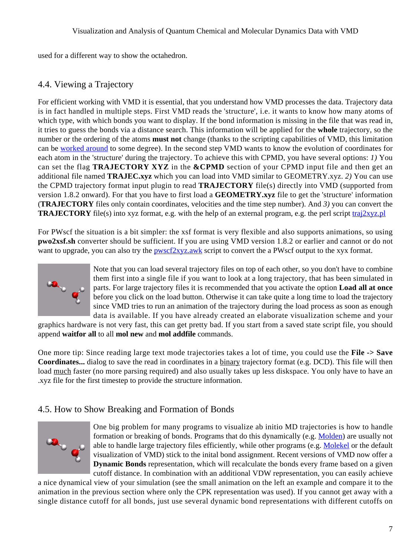used for a different way to show the octahedron.

## <span id="page-6-2"></span><span id="page-6-0"></span>4.4. Viewing a Trajectory

For efficient working with VMD it is essential, that you understand how VMD processes the data. Trajectory data is in fact handled in multiple steps. First VMD reads the 'structure', i.e. it wants to know how many atoms of which type, with which bonds you want to display. If the bond information is missing in the file that was read in, it tries to guess the bonds via a distance search. This information will be applied for the **whole** trajectory, so the number or the ordering of the atoms **must not** change (thanks to the scripting capabilities of VMD, this limitation can be [worked around](#page-34-2) to some degree). In the second step VMD wants to know the evolution of coordinates for each atom in the 'structure' during the trajectory. To achieve this with CPMD, you have several options: *1)* You can set the flag **TRAJECTORY XYZ** in the **&CPMD** section of your CPMD input file and then get an additional file named **TRAJEC.xyz** which you can load into VMD similar to GEOMETRY.xyz. *2)* You can use the CPMD trajectory format input plugin to read **TRAJECTORY** file(s) directly into VMD (supported from version 1.8.2 onward). For that you have to first load a **GEOMETRY.xyz** file to get the 'structure' information (**TRAJECTORY** files only contain coordinates, velocities and the time step number). And *3)* you can convert the **TRAJECTORY** file(s) into xyz format, e.g. with the help of an external program, e.g. the perl script traj2xyz.pl

For PWscf the situation is a bit simpler: the xsf format is very flexible and also supports animations, so using **pwo2xsf.sh** converter should be sufficient. If you are using VMD version 1.8.2 or earlier and cannot or do not want to upgrade, you can also try the **pwscf2xyz.awk** script to convert the a PWscf output to the xyx format.



Note that you can load several trajectory files on top of each other, so you don't have to combine them first into a single file if you want to look at a long trajectory, that has been simulated in parts. For large trajectory files it is recommended that you activate the option **Load all at once** before you click on the load button. Otherwise it can take quite a long time to load the trajectory since VMD tries to run an animation of the trajectory during the load process as soon as enough data is available. If you have already created an elaborate visualization scheme and your

graphics hardware is not very fast, this can get pretty bad. If you start from a saved state script file, you should append **waitfor all** to all **mol new** and **mol addfile** commands.

One more tip: Since reading large text mode trajectories takes a lot of time, you could use the **File -> Save Coordinates...** dialog to save the read in coordinates in a binary trajectory format (e.g. DCD). This file will then load much faster (no more parsing required) and also usually takes up less diskspace. You only have to have an .xyz file for the first timestep to provide the structure information.

## <span id="page-6-1"></span>4.5. How to Show Breaking and Formation of Bonds



One big problem for many programs to visualize ab initio MD trajectories is how to handle formation or breaking of bonds. Programs that do this dynamically (e.g. [Molden](http://www.cmbi.kun.nl/~schaft/molden/molden.html)) are usually not able to handle large trajectory files efficiently, while other programs (e.g. [Molekel](http://www.cscs.ch/molekel/) or the default visualization of VMD) stick to the inital bond assignment. Recent versions of VMD now offer a **Dynamic Bonds** representation, which will recalculate the bonds every frame based on a given cutoff distance. In combination with an additional VDW representation, you can easily achieve

a nice dynamical view of your simulation (see the small animation on the left an example and compare it to the animation in the previous section where only the CPK representation was used). If you cannot get away with a single distance cutoff for all bonds, just use several dynamic bond representations with different cutoffs on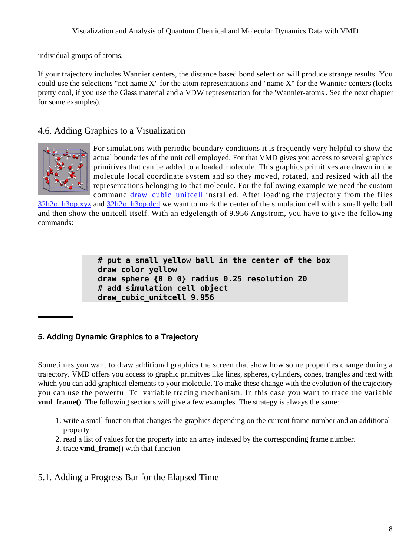#### Visualization and Analysis of Quantum Chemical and Molecular Dynamics Data with VMD

individual groups of atoms.

If your trajectory includes Wannier centers, the distance based bond selection will produce strange results. You could use the selections "not name X" for the atom representations and "name X" for the Wannier centers (looks pretty cool, if you use the Glass material and a VDW representation for the 'Wannier-atoms'. See the next chapter for some examples).

### <span id="page-7-0"></span>4.6. Adding Graphics to a Visualization



For simulations with periodic boundary conditions it is frequently very helpful to show the actual boundaries of the unit cell employed. For that VMD gives you access to several graphics primitives that can be added to a loaded molecule. This graphics primitives are drawn in the molecule local coordinate system and so they moved, rotated, and resized with all the representations belonging to that molecule. For the following example we need the custom command draw cubic unitcell installed. After loading the trajectory from the files

32h2o\_h3op.xyz and 32h2o\_h3op.dcd we want to mark the center of the simulation cell with a small yello ball and then show the unitcell itself. With an edgelength of 9.956 Angstrom, you have to give the following commands:

```
# put a small yellow ball in the center of the box
draw color yellow
draw sphere {0 0 0} radius 0.25 resolution 20
# add simulation cell object
draw_cubic_unitcell 9.956
```
### <span id="page-7-1"></span>**5. Adding Dynamic Graphics to a Trajectory**

Sometimes you want to draw additional graphics the screen that show how some properties change during a trajectory. VMD offers you access to graphic primitves like lines, spheres, cylinders, cones, trangles and text with which you can add graphical elements to your molecule. To make these change with the evolution of the trajectory you can use the powerful Tcl variable tracing mechanism. In this case you want to trace the variable **vmd\_frame()**. The following sections will give a few examples. The strategy is always the same:

- 1. write a small function that changes the graphics depending on the current frame number and an additional property
- 2. read a list of values for the property into an array indexed by the corresponding frame number.
- 3. trace **vmd\_frame()** with that function

## <span id="page-7-2"></span>5.1. Adding a Progress Bar for the Elapsed Time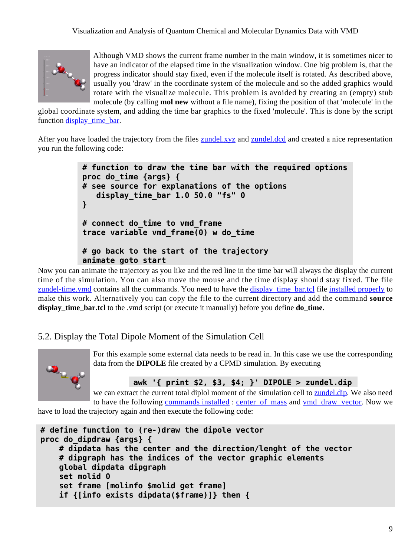

Although VMD shows the current frame number in the main window, it is sometimes nicer to have an indicator of the elapsed time in the visualization window. One big problem is, that the progress indicator should stay fixed, even if the molecule itself is rotated. As described above, usually you 'draw' in the coordinate system of the molecule and so the added graphics would rotate with the visualize molecule. This problem is avoided by creating an (empty) stub molecule (by calling **mol new** without a file name), fixing the position of that 'molecule' in the

global coordinate system, and adding the time bar graphics to the fixed 'molecule'. This is done by the script function display time bar.

After you have loaded the trajectory from the files **zundel.xyz** and **zundel.dcd** and created a nice representation you run the following code:

```
# function to draw the time bar with the required options
proc do_time {args} {
# see source for explanations of the options
    display_time_bar 1.0 50.0 "fs" 0
}
# connect do_time to vmd_frame
trace variable vmd_frame(0) w do_time
# go back to the start of the trajectory
animate goto start
```
Now you can animate the trajectory as you like and the red line in the time bar will always the display the current time of the simulation. You can also move the mouse and the time display should stay fixed. The file zundel-time. vmd contains all the commands. You need to have the display time bar.tcl file [installed properly](#page-4-4) to make this work. Alternatively you can copy the file to the current directory and add the command **source display** time bar.tcl to the .vmd script (or execute it manually) before you define **do** time.

## <span id="page-8-0"></span>5.2. Display the Total Dipole Moment of the Simulation Cell



For this example some external data needs to be read in. In this case we use the corresponding data from the **DIPOLE** file created by a CPMD simulation. By executing

**awk '{ print \$2, \$3, \$4; }' DIPOLE > zundel.dip**

we can extract the current total diplol moment of the simulation cell to zundel.dip. We also need to have the following [commands installed](#page-4-4) : center of mass and ymd\_draw\_vector. Now we

have to load the trajectory again and then execute the following code:

```
# define function to (re-)draw the dipole vector
proc do_dipdraw {args} {
     # dipdata has the center and the direction/lenght of the vector
     # dipgraph has the indices of the vector graphic elements
     global dipdata dipgraph
     set molid 0
     set frame [molinfo $molid get frame]
     if {[info exists dipdata($frame)]} then {
```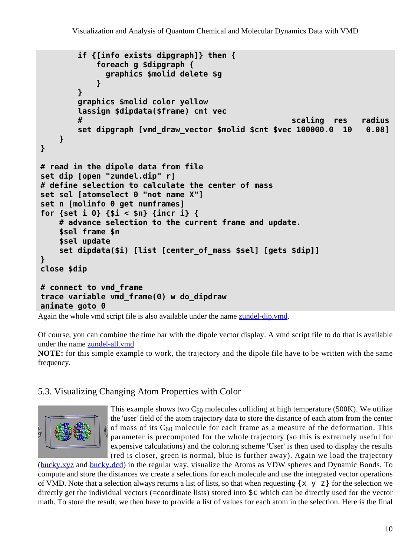```
 if {[info exists dipgraph]} then {
            foreach g $dipgraph {
              graphics $molid delete $g
 }
        }
        graphics $molid color yellow
        lassign $dipdata($frame) cnt vec
 # scaling res radius
        set dipgraph [vmd_draw_vector $molid $cnt $vec 100000.0 10 0.08]
    }
}
# read in the dipole data from file
set dip [open "zundel.dip" r]
# define selection to calculate the center of mass
set sel [atomselect 0 "not name X"]
set n [molinfo 0 get numframes]
for {set i 0} {$i < $n} {incr i} {
    # advance selection to the current frame and update.
    $sel frame $n
    $sel update
    set dipdata($i) [list [center_of_mass $sel] [gets $dip]]
}
close $dip
# connect to vmd_frame
trace variable vmd_frame(0) w do_dipdraw
animate goto 0
```
Again the whole vmd script file is also available under the name zundel-dip.vmd.

Of course, you can combine the time bar with the dipole vector display. A vmd script file to do that is available under the name zundel-all.vmd

**NOTE:** for this simple example to work, the trajectory and the dipole file have to be written with the same frequency.

## <span id="page-9-0"></span>5.3. Visualizing Changing Atom Properties with Color



This example shows two  $C_{60}$  molecules colliding at high temperature (500K). We utilize the 'user' field of the atom trajectory data to store the distance of each atom from the center of mass of its  $C_{60}$  molecule for each frame as a measure of the deformation. This parameter is precomputed for the whole trajectory (so this is extremely useful for expensive calculations) and the coloring scheme 'User' is then used to display the results (red is closer, green is normal, blue is further away). Again we load the trajectory

(bucky.xyz and bucky.dcd) in the regular way, visualize the Atoms as VDW spheres and Dynamic Bonds. To compute and store the distances we create a selections for each molecule and use the integrated vector operations of VMD. Note that a selection always returns a list of lists, so that when requesting  $\{x \mid y \in Z\}$  for the selection we directly get the individual vectors (=coordinate lists) stored into \$c which can be directly used for the vector math. To store the result, we then have to provide a list of values for each atom in the selection. Here is the final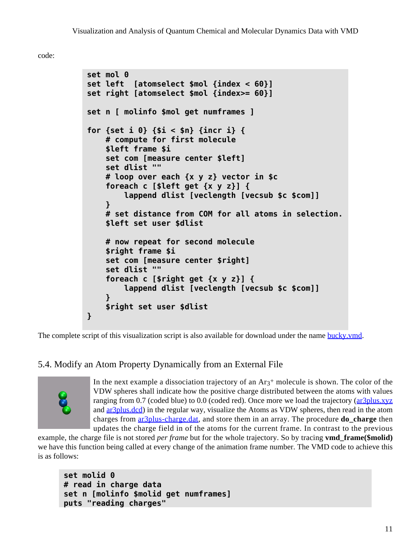code:

```
set mol 0
set left [atomselect $mol {index < 60}]
set right [atomselect $mol {index>= 60}]
set n [ molinfo $mol get numframes ]
for {set i 0} {$i < $n} {incr i} {
     # compute for first molecule
     $left frame $i
     set com [measure center $left]
     set dlist ""
     # loop over each {x y z} vector in $c
     foreach c [$left get {x y z}] {
         lappend dlist [veclength [vecsub $c $com]]
     }
     # set distance from COM for all atoms in selection.
     $left set user $dlist
     # now repeat for second molecule
     $right frame $i
     set com [measure center $right]
     set dlist ""
     foreach c [$right get {x y z}] {
         lappend dlist [veclength [vecsub $c $com]]
     }
     $right set user $dlist
}
```
The complete script of this visualization script is also available for download under the name bucky.vmd.

# <span id="page-10-0"></span>5.4. Modify an Atom Property Dynamically from an External File



In the next example a dissociation trajectory of an  $Ar<sub>3</sub>$ + molecule is shown. The color of the VDW spheres shall indicate how the positive charge distributed between the atoms with values ranging from 0.7 (coded blue) to 0.0 (coded red). Once more we load the trajectory (ar3plus.xyz and ar3plus.dcd) in the regular way, visualize the Atoms as VDW spheres, then read in the atom charges from ar3plus-charge.dat, and store them in an array. The procedure **do\_charge** then updates the charge field in of the atoms for the current frame. In contrast to the previous

example, the charge file is not stored *per frame* but for the whole trajectory. So by tracing **vmd\_frame(\$molid)** we have this function being called at every change of the animation frame number. The VMD code to achieve this is as follows:

```
set molid 0
# read in charge data
set n [molinfo $molid get numframes]
puts "reading charges"
```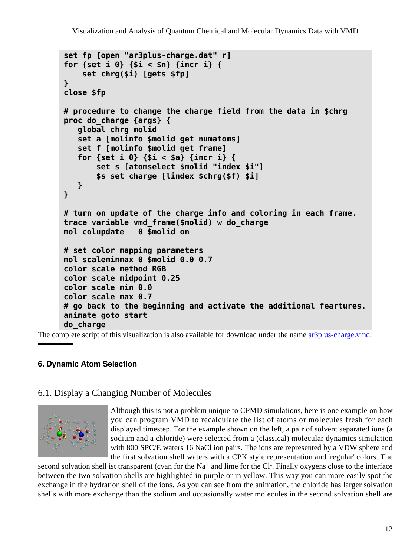```
set fp [open "ar3plus-charge.dat" r]
for {set i 0} {$i < $n} {incr i} {
     set chrg($i) [gets $fp]
}
close $fp
# procedure to change the charge field from the data in $chrg
proc do_charge {args} {
    global chrg molid
    set a [molinfo $molid get numatoms]
    set f [molinfo $molid get frame]
    for {set i 0} {$i < $a} {incr i} {
        set s [atomselect $molid "index $i"]
        $s set charge [lindex $chrg($f) $i]
    }
}
# turn on update of the charge info and coloring in each frame.
trace variable vmd_frame($molid) w do_charge
mol colupdate 0 $molid on
# set color mapping parameters
mol scaleminmax 0 $molid 0.0 0.7
color scale method RGB
color scale midpoint 0.25
color scale min 0.0
color scale max 0.7
# go back to the beginning and activate the additional feartures.
animate goto start
do_charge
```
The complete script of this visualization is also available for download under the name ar3plus-charge.vmd.

### <span id="page-11-0"></span>**6. Dynamic Atom Selection**

### <span id="page-11-1"></span>6.1. Display a Changing Number of Molecules



Although this is not a problem unique to CPMD simulations, here is one example on how you can program VMD to recalculate the list of atoms or molecules fresh for each displayed timestep. For the example shown on the left, a pair of solvent separated ions (a sodium and a chloride) were selected from a (classical) molecular dynamics simulation with 800 SPC/E waters 16 NaCl ion pairs. The ions are represented by a VDW sphere and the first solvation shell waters with a CPK style representation and 'regular' colors. The

second solvation shell ist transparent (cyan for the Na+ and lime for the Cl-. Finally oxygens close to the interface between the two solvation shells are highlighted in purple or in yellow. This way you can more easily spot the exchange in the hydration shell of the ions. As you can see from the animation, the chloride has larger solvation shells with more exchange than the sodium and occasionally water molecules in the second solvation shell are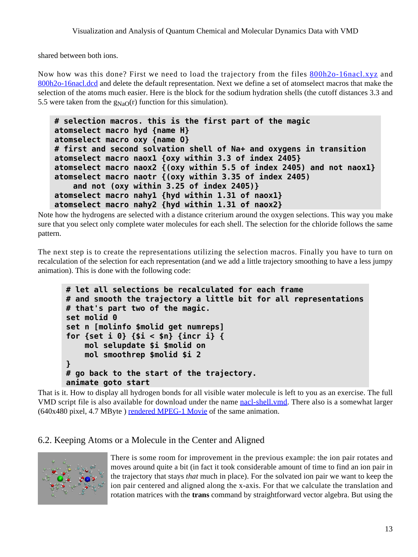shared between both ions.

Now how was this done? First we need to load the trajectory from the files 800h2o-16nacl.xyz and 800h2o-16nacl.dcd and delete the default representation. Next we define a set of atomselect macros that make the selection of the atoms much easier. Here is the block for the sodium hydration shells (the cutoff distances 3.3 and 5.5 were taken from the  $g_{NaO}(r)$  function for this simulation).

```
# selection macros. this is the first part of the magic
atomselect macro hyd {name H}
atomselect macro oxy {name O}
# first and second solvation shell of Na+ and oxygens in transition
atomselect macro naox1 {oxy within 3.3 of index 2405}
atomselect macro naox2 {(oxy within 5.5 of index 2405) and not naox1}
atomselect macro naotr {(oxy within 3.35 of index 2405)
     and not (oxy within 3.25 of index 2405)}
atomselect macro nahy1 {hyd within 1.31 of naox1}
atomselect macro nahy2 {hyd within 1.31 of naox2}
```
Note how the hydrogens are selected with a distance criterium around the oxygen selections. This way you make sure that you select only complete water molecules for each shell. The selection for the chloride follows the same pattern.

The next step is to create the representations utilizing the selection macros. Finally you have to turn on recalculation of the selection for each representation (and we add a little trajectory smoothing to have a less jumpy animation). This is done with the following code:

```
# let all selections be recalculated for each frame
# and smooth the trajectory a little bit for all representations
# that's part two of the magic.
set molid 0
set n [molinfo $molid get numreps]
for {set i 0} {$i < $n} {incr i} {
     mol selupdate $i $molid on
     mol smoothrep $molid $i 2
}
# go back to the start of the trajectory.
animate goto start
```
That is it. How to display all hydrogen bonds for all visible water molecule is left to you as an exercise. The full VMD script file is also available for download under the name nacl-shell.vmd. There also is a somewhat larger (640x480 pixel, 4.7 MByte ) rendered MPEG-1 Movie of the same animation.

### <span id="page-12-0"></span>6.2. Keeping Atoms or a Molecule in the Center and Aligned



There is some room for improvement in the previous example: the ion pair rotates and moves around quite a bit (in fact it took considerable amount of time to find an ion pair in the trajectory that stays *that* much in place). For the solvated ion pair we want to keep the ion pair centered and aligned along the x-axis. For that we calculate the translation and rotation matrices with the **trans** command by straightforward vector algebra. But using the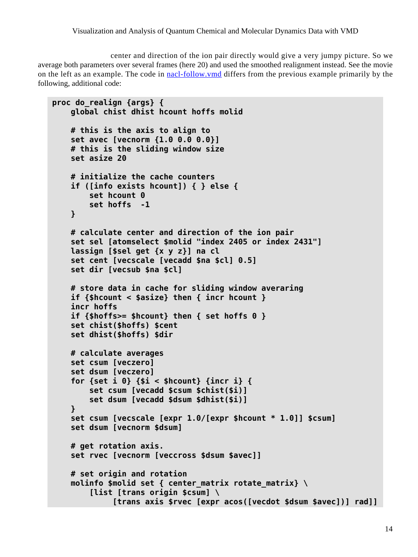center and direction of the ion pair directly would give a very jumpy picture. So we average both parameters over several frames (here 20) and used the smoothed realignment instead. See the movie on the left as an example. The code in nacl-follow.vmd differs from the previous example primarily by the following, additional code:

```
proc do_realign {args} {
     global chist dhist hcount hoffs molid
     # this is the axis to align to
     set avec [vecnorm {1.0 0.0 0.0}]
     # this is the sliding window size
     set asize 20
     # initialize the cache counters
     if ([info exists hcount]) { } else {
         set hcount 0
         set hoffs -1
     }
     # calculate center and direction of the ion pair
     set sel [atomselect $molid "index 2405 or index 2431"]
     lassign [$sel get {x y z}] na cl
     set cent [vecscale [vecadd $na $cl] 0.5]
     set dir [vecsub $na $cl]
     # store data in cache for sliding window averaring
     if {$hcount < $asize} then { incr hcount }
     incr hoffs
     if {$hoffs>= $hcount} then { set hoffs 0 }
     set chist($hoffs) $cent
     set dhist($hoffs) $dir
     # calculate averages
     set csum [veczero]
     set dsum [veczero]
     for {set i 0} {$i < $hcount} {incr i} {
         set csum [vecadd $csum $chist($i)]
         set dsum [vecadd $dsum $dhist($i)]
     }
     set csum [vecscale [expr 1.0/[expr $hcount * 1.0]] $csum]
     set dsum [vecnorm $dsum]
     # get rotation axis.
     set rvec [vecnorm [veccross $dsum $avec]]
     # set origin and rotation
     molinfo $molid set { center_matrix rotate_matrix} \
         [list [trans origin $csum] \
              [trans axis $rvec [expr acos([vecdot $dsum $avec])] rad]]
```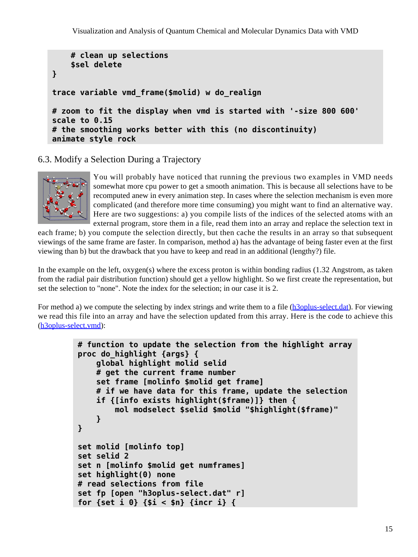```
 # clean up selections
     $sel delete
}
trace variable vmd_frame($molid) w do_realign
# zoom to fit the display when vmd is started with '-size 800 600'
scale to 0.15
# the smoothing works better with this (no discontinuity)
animate style rock
```
<span id="page-14-0"></span>6.3. Modify a Selection During a Trajectory



You will probably have noticed that running the previous two examples in VMD needs somewhat more cpu power to get a smooth animation. This is because all selections have to be recomputed anew in every animation step. In cases where the selection mechanism is even more complicated (and therefore more time consuming) you might want to find an alternative way. Here are two suggestions: a) you compile lists of the indices of the selected atoms with an external program, store them in a file, read them into an array and replace the selection text in

each frame; b) you compute the selection directly, but then cache the results in an array so that subsequent viewings of the same frame are faster. In comparison, method a) has the advantage of being faster even at the first viewing than b) but the drawback that you have to keep and read in an additional (lengthy?) file.

In the example on the left, oxygen(s) where the excess proton is within bonding radius (1.32 Angstrom, as taken from the radial pair distribution function) should get a yellow highlight. So we first create the representation, but set the selection to "none". Note the index for the selection; in our case it is 2.

For method a) we compute the selecting by index strings and write them to a file (h<sub>3oplus-select.dat</sub>). For viewing we read this file into an array and have the selection updated from this array. Here is the code to achieve this (h3oplus-select.vmd):

```
# function to update the selection from the highlight array
proc do_highlight {args} {
     global highlight molid selid
     # get the current frame number
     set frame [molinfo $molid get frame]
     # if we have data for this frame, update the selection
     if {[info exists highlight($frame)]} then {
         mol modselect $selid $molid "$highlight($frame)"
     }
}
set molid [molinfo top]
set selid 2
set n [molinfo $molid get numframes]
set highlight(0) none
# read selections from file
set fp [open "h3oplus-select.dat" r]
for {set i 0} {$i < $n} {incr i} {
```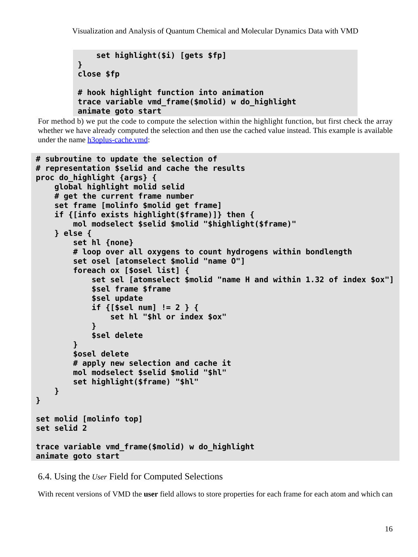```
 set highlight($i) [gets $fp]
}
close $fp
# hook highlight function into animation
trace variable vmd_frame($molid) w do_highlight
animate goto start
```
For method b) we put the code to compute the selection within the highlight function, but first check the array whether we have already computed the selection and then use the cached value instead. This example is available under the name h3oplus-cache.vmd:

```
# subroutine to update the selection of
# representation $selid and cache the results
proc do_highlight {args} {
     global highlight molid selid
     # get the current frame number
     set frame [molinfo $molid get frame]
     if {[info exists highlight($frame)]} then {
         mol modselect $selid $molid "$highlight($frame)"
     } else {
         set hl {none}
         # loop over all oxygens to count hydrogens within bondlength
         set osel [atomselect $molid "name O"]
         foreach ox [$osel list] {
             set sel [atomselect $molid "name H and within 1.32 of index $ox"]
             $sel frame $frame
             $sel update
             if {[$sel num] != 2 } {
                 set hl "$hl or index $ox"
 }
             $sel delete
         }
         $osel delete
         # apply new selection and cache it
         mol modselect $selid $molid "$hl"
         set highlight($frame) "$hl"
     }
}
set molid [molinfo top]
set selid 2
trace variable vmd_frame($molid) w do_highlight
animate goto start
```
<span id="page-15-0"></span>6.4. Using the *User* Field for Computed Selections

With recent versions of VMD the **user** field allows to store properties for each frame for each atom and which can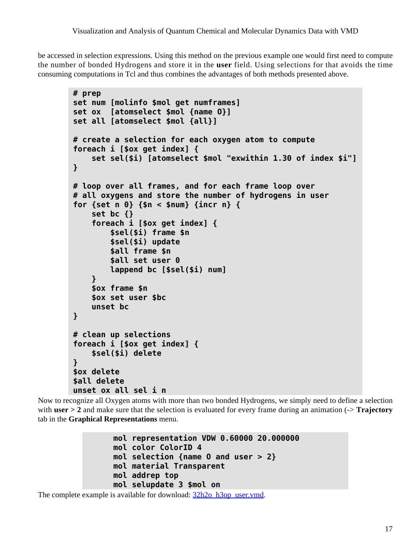be accessed in selection expressions. Using this method on the previous example one would first need to compute the number of bonded Hydrogens and store it in the **user** field. Using selections for that avoids the time consuming computations in Tcl and thus combines the advantages of both methods presented above.

```
# prep
set num [molinfo $mol get numframes]
set ox [atomselect $mol {name O}]
set all [atomselect $mol {all}]
# create a selection for each oxygen atom to compute
foreach i [$ox get index] {
     set sel($i) [atomselect $mol "exwithin 1.30 of index $i"]
}
# loop over all frames, and for each frame loop over
# all oxygens and store the number of hydrogens in user
for {set n 0} {$n < $num} {incr n} {
     set bc {}
     foreach i [$ox get index] {
         $sel($i) frame $n
         $sel($i) update
         $all frame $n
         $all set user 0
         lappend bc [$sel($i) num]
     }
     $ox frame $n
     $ox set user $bc
     unset bc
}
# clean up selections
foreach i [$ox get index] {
     $sel($i) delete
}
$ox delete
$all delete
unset ox all sel i n
```
Now to recognize all Oxygen atoms with more than two bonded Hydrogens, we simply need to define a selection with **user** > 2 and make sure that the selection is evaluated for every frame during an animation (-> **Trajectory** tab in the **Graphical Representations** menu.

```
mol representation VDW 0.60000 20.000000
mol color ColorID 4
mol selection {name O and user > 2}
mol material Transparent
mol addrep top
mol selupdate 3 $mol on
```
The complete example is available for download:  $\frac{32h2o-h3op}{2}$  user.vmd.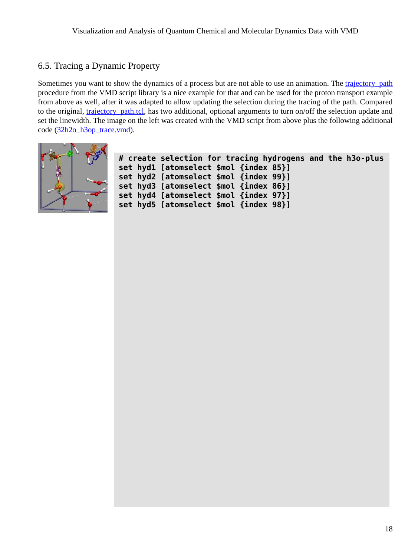## <span id="page-17-0"></span>6.5. Tracing a Dynamic Property

Sometimes you want to show the dynamics of a process but are not able to use an animation. The trajectory path procedure from the VMD script library is a nice example for that and can be used for the proton transport example from above as well, after it was adapted to allow updating the selection during the tracing of the path. Compared to the original, trajectory path.tcl, has two additional, optional arguments to turn on/off the selection update and set the linewidth. The image on the left was created with the VMD script from above plus the following additional code (32h2o\_h3op\_trace.vmd).



| # create selection for tracing hydrogens and the h3o-plus |  |
|-----------------------------------------------------------|--|
| set hydl [atomselect \$mol {index 85}]                    |  |
| set hyd2 [atomselect \$mol {index 99}]                    |  |
| set hyd3 [atomselect \$mol {index 86}]                    |  |
| set hyd4 [atomselect \$mol {index 97}]                    |  |
| set hyd5 [atomselect \$mol {index 98}]                    |  |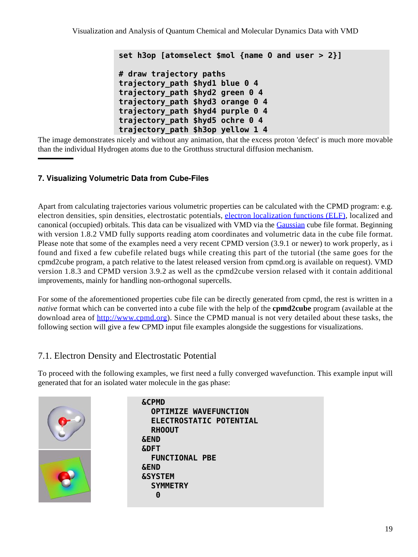**set h3op [atomselect \$mol {name O and user > 2}] # draw trajectory paths trajectory\_path \$hyd1 blue 0 4 trajectory\_path \$hyd2 green 0 4 trajectory\_path \$hyd3 orange 0 4 trajectory\_path \$hyd4 purple 0 4 trajectory\_path \$hyd5 ochre 0 4 trajectory\_path \$h3op yellow 1 4**

The image demonstrates nicely and without any animation, that the excess proton 'defect' is much more movable than the individual Hydrogen atoms due to the Grotthuss structural diffusion mechanism.

### <span id="page-18-0"></span>**7. Visualizing Volumetric Data from Cube-Files**

Apart from calculating trajectories various volumetric properties can be calculated with the CPMD program: e.g. electron densities, spin densities, electrostatic potentials, [electron localization functions \(ELF\)](http://www.cpfs.mpg.de/ELF/), localized and canonical (occupied) orbitals. This data can be visualized with VMD via the [Gaussian](http://www.gaussian.com/) cube file format. Beginning with version 1.8.2 VMD fully supports reading atom coordinates and volumetric data in the cube file format. Please note that some of the examples need a very recent CPMD version (3.9.1 or newer) to work properly, as i found and fixed a few cubefile related bugs while creating this part of the tutorial (the same goes for the cpmd2cube program, a patch relative to the latest released version from cpmd.org is available on request). VMD version 1.8.3 and CPMD version 3.9.2 as well as the cpmd2cube version relased with it contain additional improvements, mainly for handling non-orthogonal supercells.

For some of the aforementioned properties cube file can be directly generated from cpmd, the rest is written in a *native* format which can be converted into a cube file with the help of the **cpmd2cube** program (available at the download area of <http://www.cpmd.org>). Since the CPMD manual is not very detailed about these tasks, the following section will give a few CPMD input file examples alongside the suggestions for visualizations.

# <span id="page-18-1"></span>7.1. Electron Density and Electrostatic Potential

To proceed with the following examples, we first need a fully converged wavefunction. This example input will generated that for an isolated water molecule in the gas phase:



**&CPMD OPTIMIZE WAVEFUNCTION ELECTROSTATIC POTENTIAL RHOOUT &END &DFT FUNCTIONAL PBE &END &SYSTEM SYMMETRY 0**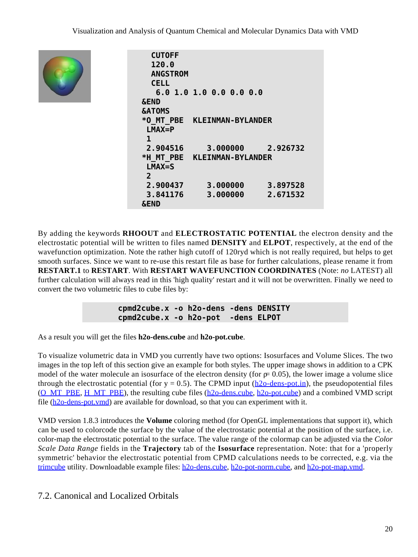

```
 CUTOFF
   120.0
  ANGSTROM
  CELL
    6.0 1.0 1.0 0.0 0.0 0.0
&END
&ATOMS
*O_MT_PBE KLEINMAN-BYLANDER
  LMAX=P
 1
  2.904516 3.000000 2.926732
*H_MT_PBE KLEINMAN-BYLANDER
  LMAX=S
  2
  2.900437 3.000000 3.897528
  3.841176 3.000000 2.671532
&END
```
By adding the keywords **RHOOUT** and **ELECTROSTATIC POTENTIAL** the electron density and the electrostatic potential will be written to files named **DENSITY** and **ELPOT**, respectively, at the end of the wavefunction optimization. Note the rather high cutoff of 120ryd which is not really required, but helps to get smooth surfaces. Since we want to re-use this restart file as base for further calculations, please rename it from **RESTART.1** to **RESTART**. With **RESTART WAVEFUNCTION COORDINATES** (Note: *no* LATEST) all further calculation will always read in this 'high quality' restart and it will not be overwritten. Finally we need to convert the two volumetric files to cube files by:

> **cpmd2cube.x -o h2o-dens -dens DENSITY cpmd2cube.x -o h2o-pot -dens ELPOT**

As a result you will get the files **h2o-dens.cube** and **h2o-pot.cube**.

To visualize volumetric data in VMD you currently have two options: Isosurfaces and Volume Slices. The two images in the top left of this section give an example for both styles. The upper image shows in addition to a CPK model of the water molecule an isosurface of the electron density (for  $= 0.05$ ), the lower image a volume slice through the electrostatic potential (for  $y = 0.5$ ). The CPMD input ( $h2o$ -dens-pot.in), the pseudopotential files (O\_MT\_PBE, H\_MT\_PBE), the resulting cube files (h2o-dens.cube, h2o-pot.cube) and a combined VMD script file (h2o-dens-pot.vmd) are available for download, so that you can experiment with it.

VMD version 1.8.3 introduces the **Volume** coloring method (for OpenGL implementations that support it), which can be used to colorcode the surface by the value of the electrostatic potential at the position of the surface, i.e. color-map the electrostatic potential to the surface. The value range of the colormap can be adjusted via the *Color Scale Data Range* fields in the **Trajectory** tab of the **Isosurface** representation. Note: that for a 'properly symmetric' behavior the electrostatic potential from CPMD calculations needs to be corrected, e.g. via the [trimcube](#page-25-4) utility. Downloadable example files: h<sub>20</sub>-dens.cube, h<sub>20</sub>-pot-norm.cube, and h<sub>20</sub>-pot-map.vmd.

### <span id="page-19-0"></span>7.2. Canonical and Localized Orbitals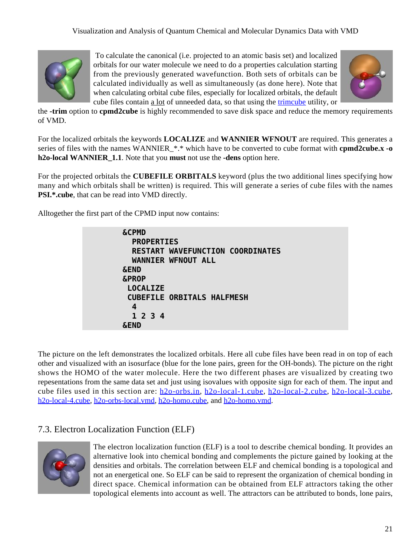

 To calculate the canonical (i.e. projected to an atomic basis set) and localized orbitals for our water molecule we need to do a properties calculation starting from the previously generated wavefunction. Both sets of orbitals can be calculated individually as well as simultaneously (as done here). Note that when calculating orbital cube files, especially for localized orbitals, the default cube files contain a lot of unneeded data, so that using the [trimcube](#page-25-4) utility, or



the **-trim** option to **cpmd2cube** is highly recommended to save disk space and reduce the memory requirements of VMD.

For the localized orbitals the keywords **LOCALIZE** and **WANNIER WFNOUT** are required. This generates a series of files with the names WANNIER\_\*.\* which have to be converted to cube format with **cpmd2cube.x -o h2o-local WANNIER\_1.1**. Note that you **must** not use the **-dens** option here.

For the projected orbitals the **CUBEFILE ORBITALS** keyword (plus the two additional lines specifying how many and which orbitals shall be written) is required. This will generate a series of cube files with the names **PSI.\*.cube**, that can be read into VMD directly.

Alltogether the first part of the CPMD input now contains:

| <b>&amp;CPMD</b>                        |
|-----------------------------------------|
| <b>PROPERTIES</b>                       |
| <b>RESTART WAVEFUNCTION COORDINATES</b> |
| <b>WANNIER WFNOUT ALL</b>               |
| <b>&amp;END</b>                         |
| <b>&amp;PROP</b>                        |
| <b>LOCALIZE</b>                         |
| <b>CUBEFILE ORBITALS HALFMESH</b>       |
| 4                                       |
| 1 2 3 4                                 |
| <b>&amp;END</b>                         |
|                                         |

The picture on the left demonstrates the localized orbitals. Here all cube files have been read in on top of each other and visualized with an isosurface (blue for the lone pairs, green for the OH-bonds). The picture on the right shows the HOMO of the water molecule. Here the two different phases are visualized by creating two repesentations from the same data set and just using isovalues with opposite sign for each of them. The input and cube files used in this section are: h2o-orbs.in, h2o-local-1.cube, h2o-local-2.cube, h2o-local-3.cube, h2o-local-4.cube, h2o-orbs-local.vmd, h2o-homo.cube, and h2o-homo.vmd.

## <span id="page-20-0"></span>7.3. Electron Localization Function (ELF)



The electron localization function (ELF) is a tool to describe chemical bonding. It provides an alternative look into chemical bonding and complements the picture gained by looking at the densities and orbitals. The correlation between ELF and chemical bonding is a topological and not an energetical one. So ELF can be said to represent the organization of chemical bonding in direct space. Chemical information can be obtained from ELF attractors taking the other topological elements into account as well. The attractors can be attributed to bonds, lone pairs,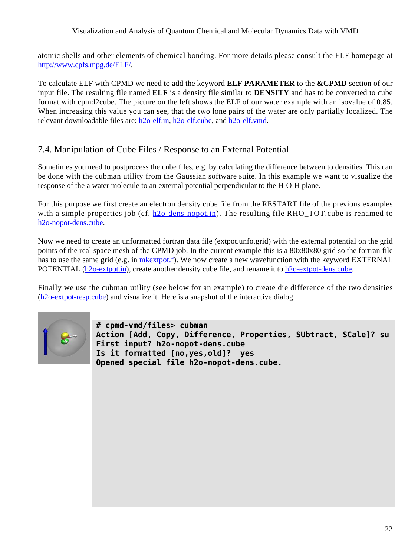#### Visualization and Analysis of Quantum Chemical and Molecular Dynamics Data with VMD

atomic shells and other elements of chemical bonding. For more details please consult the ELF homepage at <http://www.cpfs.mpg.de/ELF/>.

To calculate ELF with CPMD we need to add the keyword **ELF PARAMETER** to the **&CPMD** section of our input file. The resulting file named **ELF** is a density file similar to **DENSITY** and has to be converted to cube format with cpmd2cube. The picture on the left shows the ELF of our water example with an isovalue of 0.85. When increasing this value you can see, that the two lone pairs of the water are only partially localized. The relevant downloadable files are: h2o-elf.in, h2o-elf.cube, and h2o-elf.vmd.

## <span id="page-21-0"></span>7.4. Manipulation of Cube Files / Response to an External Potential

Sometimes you need to postprocess the cube files, e.g. by calculating the difference between to densities. This can be done with the cubman utility from the Gaussian software suite. In this example we want to visualize the response of the a water molecule to an external potential perpendicular to the H-O-H plane.

For this purpose we first create an electron density cube file from the RESTART file of the previous examples with a simple properties job (cf. h2o-dens-nopot.in). The resulting file RHO TOT.cube is renamed to h2o-nopot-dens.cube.

Now we need to create an unformatted fortran data file (extpot.unfo.grid) with the external potential on the grid points of the real space mesh of the CPMD job. In the current example this is a 80x80x80 grid so the fortran file has to use the same grid (e.g. in mkextpot.f). We now create a new wavefunction with the keyword EXTERNAL POTENTIAL (h2o-extpot.in), create another density cube file, and rename it to h2o-extpot-dens.cube.

Finally we use the cubman utility (see below for an example) to create die difference of the two densities (h2o-extpot-resp.cube) and visualize it. Here is a snapshot of the interactive dialog.



**# cpmd-vmd/files> cubman Action [Add, Copy, Difference, Properties, SUbtract, SCale]? su First input? h2o-nopot-dens.cube Is it formatted [no,yes,old]? yes Opened special file h2o-nopot-dens.cube.**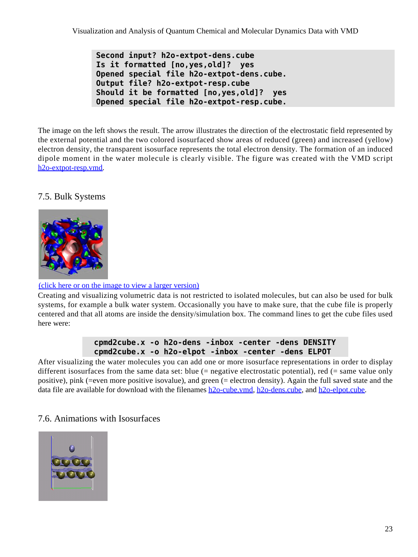```
Second input? h2o-extpot-dens.cube
Is it formatted [no,yes,old]? yes
Opened special file h2o-extpot-dens.cube.
Output file? h2o-extpot-resp.cube
Should it be formatted [no,yes,old]? yes
Opened special file h2o-extpot-resp.cube.
```
The image on the left shows the result. The arrow illustrates the direction of the electrostatic field represented by the external potential and the two colored isosurfaced show areas of reduced (green) and increased (yellow) electron density, the transparent isosurface represents the total electron density. The formation of an induced dipole moment in the water molecule is clearly visible. The figure was created with the VMD script h2o-extpot-resp.vmd.

<span id="page-22-0"></span>7.5. Bulk Systems



#### (click here or on the image to view a larger version)

Creating and visualizing volumetric data is not restricted to isolated molecules, but can also be used for bulk systems, for example a bulk water system. Occasionally you have to make sure, that the cube file is properly centered and that all atoms are inside the density/simulation box. The command lines to get the cube files used here were:

### **cpmd2cube.x -o h2o-dens -inbox -center -dens DENSITY cpmd2cube.x -o h2o-elpot -inbox -center -dens ELPOT**

After visualizing the water molecules you can add one or more isosurface representations in order to display different isosurfaces from the same data set: blue (= negative electrostatic potential), red (= same value only positive), pink (=even more positive isovalue), and green (= electron density). Again the full saved state and the data file are available for download with the filenames h2o-cube.vmd, h2o-dens.cube, and h2o-elpot.cube.

### <span id="page-22-1"></span>7.6. Animations with Isosurfaces

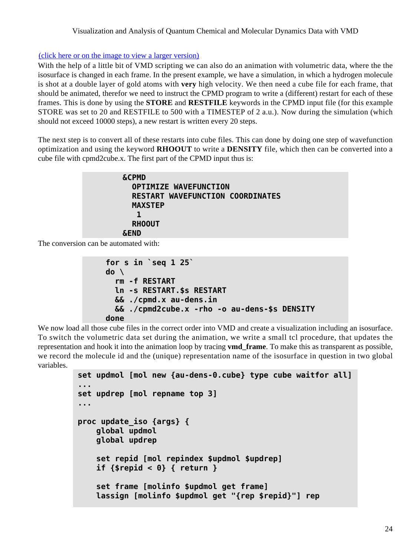#### (click here or on the image to view a larger version)

With the help of a little bit of VMD scripting we can also do an animation with volumetric data, where the the isosurface is changed in each frame. In the present example, we have a simulation, in which a hydrogen molecule is shot at a double layer of gold atoms with **very** high velocity. We then need a cube file for each frame, that should be animated, therefor we need to instruct the CPMD program to write a (different) restart for each of these frames. This is done by using the **STORE** and **RESTFILE** keywords in the CPMD input file (for this example STORE was set to 20 and RESTFILE to 500 with a TIMESTEP of 2 a.u.). Now during the simulation (which should not exceed 10000 steps), a new restart is written every 20 steps.

The next step is to convert all of these restarts into cube files. This can done by doing one step of wavefunction optimization and using the keyword **RHOOUT** to write a **DENSITY** file, which then can be converted into a cube file with cpmd2cube.x. The first part of the CPMD input thus is:

```
&CPMD
   OPTIMIZE WAVEFUNCTION
   RESTART WAVEFUNCTION COORDINATES
   MAXSTEP
    1
   RHOOUT
&END
```
The conversion can be automated with:

```
for s in `seq 1 25`
do \
   rm -f RESTART
   ln -s RESTART.$s RESTART
   && ./cpmd.x au-dens.in
   && ./cpmd2cube.x -rho -o au-dens-$s DENSITY
done
```
We now load all those cube files in the correct order into VMD and create a visualization including an isosurface. To switch the volumetric data set during the animation, we write a small tcl procedure, that updates the representation and hook it into the animation loop by tracing **vmd\_frame**. To make this as transparent as possible, we record the molecule id and the (unique) representation name of the isosurface in question in two global variables.

```
set updmol [mol new {au-dens-0.cube} type cube waitfor all]
...
set updrep [mol repname top 3]
...
proc update_iso {args} {
     global updmol
     global updrep
     set repid [mol repindex $updmol $updrep]
     if {$repid < 0} { return }
     set frame [molinfo $updmol get frame]
     lassign [molinfo $updmol get "{rep $repid}"] rep
```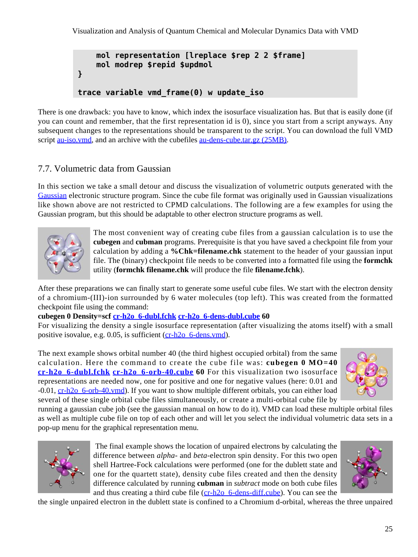Visualization and Analysis of Quantum Chemical and Molecular Dynamics Data with VMD

```
 mol representation [lreplace $rep 2 2 $frame]
     mol modrep $repid $updmol
}
trace variable vmd_frame(0) w update_iso
```
There is one drawback: you have to know, which index the isosurface visualization has. But that is easily done (if you can count and remember, that the first representation id is 0), since you start from a script anyways. Any subsequent changes to the representations should be transparent to the script. You can download the full VMD script <u>au-iso.ymd</u>, and an archive with the cubefiles <u>au-dens-cube.tar.gz</u> (25MB).

## <span id="page-24-0"></span>7.7. Volumetric data from Gaussian

In this section we take a small detour and discuss the visualization of volumetric outputs generated with the [Gaussian](http://www.gaussian.com/) electronic structure program. Since the cube file format was originally used in Gaussian visualizations like shown above are not restricted to CPMD calculations. The following are a few examples for using the Gaussian program, but this should be adaptable to other electron structure programs as well.



The most convenient way of creating cube files from a gaussian calculation is to use the **cubegen** and **cubman** programs. Prerequisite is that you have saved a checkpoint file from your calculation by adding a **%Chk=filename.chk** statement to the header of your gaussian input file. The (binary) checkpoint file needs to be converted into a formatted file using the **formchk** utility (**formchk filename.chk** will produce the file **filename.fchk**).

After these preparations we can finally start to generate some useful cube files. We start with the electron density of a chromium-(III)-ion surrounded by 6 water molecules (top left). This was created from the formatted checkpoint file using the command:

#### **cubegen 0 Density=scf cr-h2o\_6-dubl.fchk cr-h2o\_6-dens-dubl.cube 60**

For visualizing the density a single isosurface representation (after visualizing the atoms itself) with a small positive isovalue, e.g. 0.05, is sufficient (cr-h<sub>2o-6-dens.vmd</sub>).

The next example shows orbital number 40 (the third highest occupied orbital) from the same calculation. Here the command to create the cube file was: **cubegen 0 MO=40 cr-h2o\_6-dubl.fchk cr-h2o\_6-orb-40.cube 60** For this visualization two isosurface representations are needed now, one for positive and one for negative values (here: 0.01 and -0.01, cr-h2o\_6-orb-40.vmd). If you want to show multiple different orbitals, you can either load several of these single orbital cube files simultaneously, or create a multi-orbital cube file by



running a gaussian cube job (see the gaussian manual on how to do it). VMD can load these multiple orbital files as well as multiple cube file on top of each other and will let you select the individual volumetric data sets in a pop-up menu for the graphical representation menu.



 The final example shows the location of unpaired electrons by calculating the difference between *alpha-* and *beta-*electron spin density. For this two open shell Hartree-Fock calculations were performed (one for the dublett state and one for the quartett state), density cube files created and then the density difference calculated by running **cubman** in *subtract* mode on both cube files and thus creating a third cube file  $(cr-h2o_6-dens-diff.cube)$ . You can see the



the single unpaired electron in the dublett state is confined to a Chromium d-orbital, whereas the three unpaired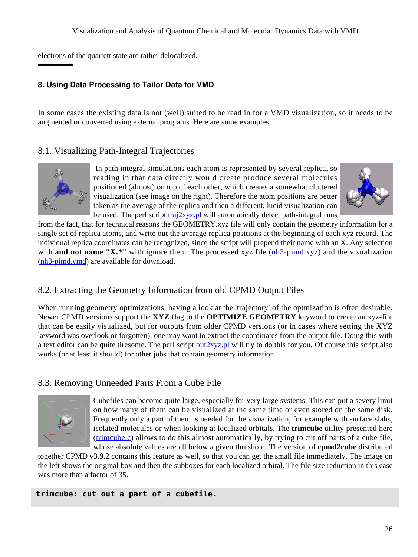electrons of the quartett state are rather delocalized.

### <span id="page-25-0"></span>**8. Using Data Processing to Tailor Data for VMD**

In some cases the existing data is not (well) suited to be read in for a VMD visualization, so it needs to be augmented or converted using external programs. Here are some examples.

## <span id="page-25-1"></span>8.1. Visualizing Path-Integral Trajectories



 In path integral simulations each atom is represented by several replica, so reading in that data directly would create produce several molecules positioned (almost) on top of each other, which creates a somewhat cluttered visualization (see image on the right). Therefore the atom positions are better taken as the average of the replica and then a different, lucid visualization can be used. The perl script  $\frac{traj2xyz.pl}{l}$  will automatically detect path-integral runs



from the fact, that for technical reasons the GEOMETRY.xyz file will only contain the geometry information for a single set of replica atoms, and write out the average replica positions at the beginning of each xyz record. The individual replica coordinates can be recognized, since the script will prepend their name with an X. Any selection with **and not name "X<sup>\*</sup>"** with ignore them. The processed xyz file ( $nh3$ -pimd<sub>xyz</sub>) and the visualization (nh3-pimd.vmd) are available for download.

# <span id="page-25-2"></span>8.2. Extracting the Geometry Information from old CPMD Output Files

When running geometry optimizations, having a look at the 'trajectory' of the optmization is often desirable. Newer CPMD versions support the **XYZ** flag to the **OPTIMIZE GEOMETRY** keyword to create an xyz-file that can be easily visualized, but for outputs from older CPMD versions (or in cases where setting the XYZ keyword was overlook or forgotten), one may want to extract the coordinates from the output file. Doing this with a text editor can be quite tiresome. The perl script  $\frac{out2xyz.pl}{with}$  will try to do this for you. Of course this script also works (or at least it should) for other jobs that contain geometry information.

# <span id="page-25-4"></span><span id="page-25-3"></span>8.3. Removing Unneeded Parts From a Cube File



Cubefiles can become quite large, especially for very large systems. This can put a severy limit on how many of them can be visualized at the same time or even stored on the same disk. Frequently only a part of them is needed for the visualization, for example with surface slabs, isolated molecules or when looking at localized orbitals. The **trimcube** utility presented here (trimcube.c) allows to do this almost automatically, by trying to cut off parts of a cube file, whose absolute values are all below a given threshold. The version of **cpmd2cube** distributed

together CPMD v3.9.2 contains this feature as well, so that you can get the small file immediately. The image on the left shows the original box and then the subboxes for each localized orbital. The file size reduction in this case was more than a factor of 35.

**trimcube: cut out a part of a cubefile.**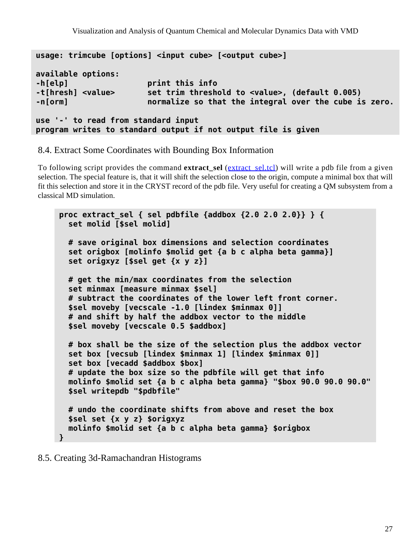```
usage: trimcube [options] <input cube> [<output cube>]
available options:
-h[elp] print this info
-t[hresh] <value> set trim threshold to <value>, (default 0.005)
-n[orm] normalize so that the integral over the cube is zero.
use '-' to read from standard input
program writes to standard output if not output file is given
```
<span id="page-26-0"></span>8.4. Extract Some Coordinates with Bounding Box Information

To following script provides the command **extract\_sel** (extract\_sel.tcl) will write a pdb file from a given selection. The special feature is, that it will shift the selection close to the origin, compute a minimal box that will fit this selection and store it in the CRYST record of the pdb file. Very useful for creating a QM subsystem from a classical MD simulation.

```
proc extract_sel { sel pdbfile {addbox {2.0 2.0 2.0}} } {
   set molid [$sel molid]
   # save original box dimensions and selection coordinates
   set origbox [molinfo $molid get {a b c alpha beta gamma}]
   set origxyz [$sel get {x y z}]
   # get the min/max coordinates from the selection
   set minmax [measure minmax $sel]
   # subtract the coordinates of the lower left front corner.
   $sel moveby [vecscale -1.0 [lindex $minmax 0]]
   # and shift by half the addbox vector to the middle
   $sel moveby [vecscale 0.5 $addbox]
  # box shall be the size of the selection plus the addbox vector
   set box [vecsub [lindex $minmax 1] [lindex $minmax 0]]
   set box [vecadd $addbox $box]
   # update the box size so the pdbfile will get that info
   molinfo $molid set {a b c alpha beta gamma} "$box 90.0 90.0 90.0"
   $sel writepdb "$pdbfile"
   # undo the coordinate shifts from above and reset the box
   $sel set {x y z} $origxyz
   molinfo $molid set {a b c alpha beta gamma} $origbox
}
```
<span id="page-26-1"></span>8.5. Creating 3d-Ramachandran Histograms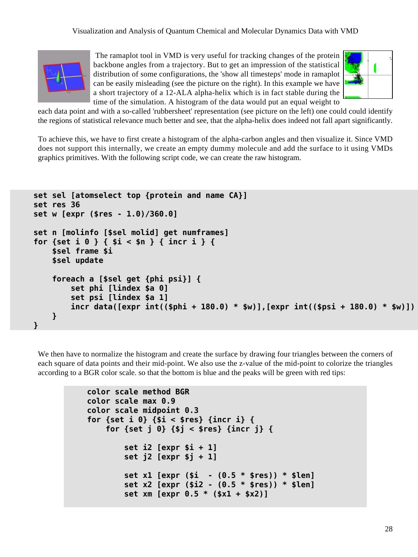

 The ramaplot tool in VMD is very useful for tracking changes of the protein backbone angles from a trajectory. But to get an impression of the statistical distribution of some configurations, the 'show all timesteps' mode in ramaplot can be easily misleading (see the picture on the right). In this example we have a short trajectory of a 12-ALA alpha-helix which is in fact stable during the time of the simulation. A histogram of the data would put an equal weight to



each data point and with a so-called 'rubbersheet' representation (see picture on the left) one could could identify the regions of statistical relevance much better and see, that the alpha-helix does indeed not fall apart significantly.

To achieve this, we have to first create a histogram of the alpha-carbon angles and then visualize it. Since VMD does not support this internally, we create an empty dummy molecule and add the surface to it using VMDs graphics primitives. With the following script code, we can create the raw histogram.

```
 set sel [atomselect top {protein and name CA}]
 set res 36
 set w [expr ($res - 1.0)/360.0]
 set n [molinfo [$sel molid] get numframes]
 for {set i 0 } { $i < $n } { incr i } {
     $sel frame $i
     $sel update
     foreach a [$sel get {phi psi}] {
         set phi [lindex $a 0]
         set psi [lindex $a 1]
         incr data([expr int(($phi + 180.0) * $w)],[expr int(($psi + 180.0) * $w)])
     }
 }
```
We then have to normalize the histogram and create the surface by drawing four triangles between the corners of each square of data points and their mid-point. We also use the z-value of the mid-point to colorize the triangles according to a BGR color scale. so that the bottom is blue and the peaks will be green with red tips:

```
 color scale method BGR
 color scale max 0.9
 color scale midpoint 0.3
 for {set i 0} {$i < $res} {incr i} {
     for {set j 0} {$j < $res} {incr j} {
         set i2 [expr $i + 1]
         set j2 [expr $j + 1]
         set x1 [expr ($i - (0.5 * $res)) * $len]
         set x2 [expr ($i2 - (0.5 * $res)) * $len]
         set xm [expr 0.5 * ($x1 + $x2)]
```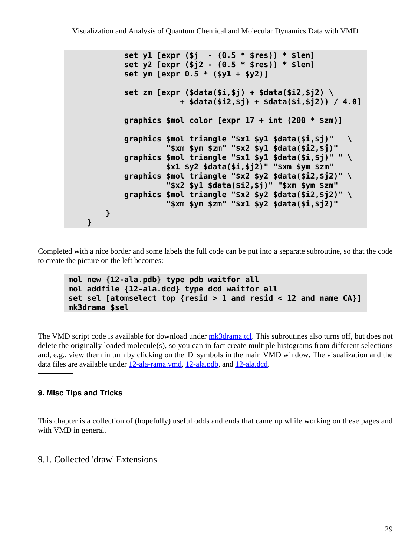```
 set y1 [expr ($j - (0.5 * $res)) * $len]
         set y2 [expr ($j2 - (0.5 * $res)) * $len]
         set ym [expr 0.5 * ($y1 + $y2)]
         set zm [expr ($data($i,$j) + $data($i2,$j2) \
                     + $data($i2,$j) + $data($i,$j2)) / 4.0]
         graphics $mol color [expr 17 + int (200 * $zm)]
         graphics $mol triangle "$x1 $y1 $data($i,$j)" \
                  "$xm $ym $zm" "$x2 $y1 $data($i2,$j)"
         graphics $mol triangle "$x1 $y1 $data($i,$j)" " \
                  $x1 $y2 $data($i,$j2)" "$xm $ym $zm"
         graphics $mol triangle "$x2 $y2 $data($i2,$j2)" \
                  "$x2 $y1 $data($i2,$j)" "$xm $ym $zm"
         graphics $mol triangle "$x2 $y2 $data($i2,$j2)" \
                  "$xm $ym $zm" "$x1 $y2 $data($i,$j2)"
     }
 }
```
Completed with a nice border and some labels the full code can be put into a separate subroutine, so that the code to create the picture on the left becomes:

```
mol new {12-ala.pdb} type pdb waitfor all
mol addfile {12-ala.dcd} type dcd waitfor all
set sel [atomselect top {resid > 1 and resid < 12 and name CA}]
mk3drama $sel
```
The VMD script code is available for download under mk3drama.tcl. This subroutines also turns off, but does not delete the originally loaded molecule(s), so you can in fact create multiple histograms from different selections and, e.g., view them in turn by clicking on the 'D' symbols in the main VMD window. The visualization and the data files are available under 12-ala-rama.vmd, 12-ala.pdb, and 12-ala.dcd.

#### <span id="page-28-3"></span><span id="page-28-0"></span>**9. Misc Tips and Tricks**

This chapter is a collection of (hopefully) useful odds and ends that came up while working on these pages and with VMD in general.

#### <span id="page-28-2"></span><span id="page-28-1"></span>9.1. Collected 'draw' Extensions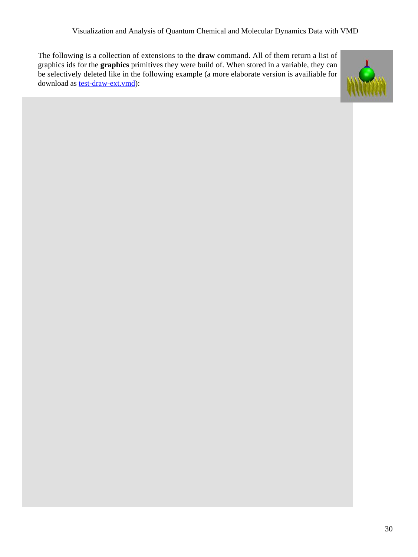The following is a collection of extensions to the **draw** command. All of them return a list of graphics ids for the **graphics** primitives they were build of. When stored in a variable, they can be selectively deleted like in the following example (a more elaborate version is availiable for download as <u>test-draw-ext.vmd</u>):

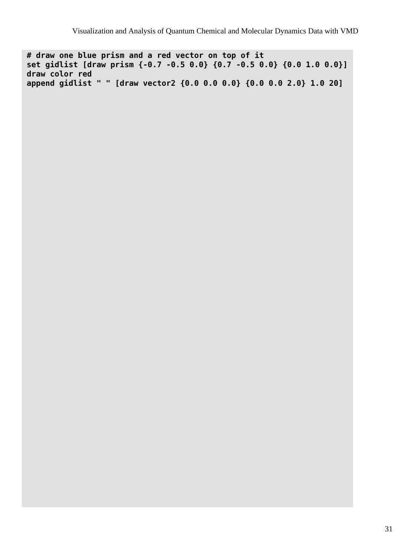**# draw one blue prism and a red vector on top of it set gidlist [draw prism {-0.7 -0.5 0.0} {0.7 -0.5 0.0} {0.0 1.0 0.0}] draw color red append gidlist " " [draw vector2 {0.0 0.0 0.0} {0.0 0.0 2.0} 1.0 20]**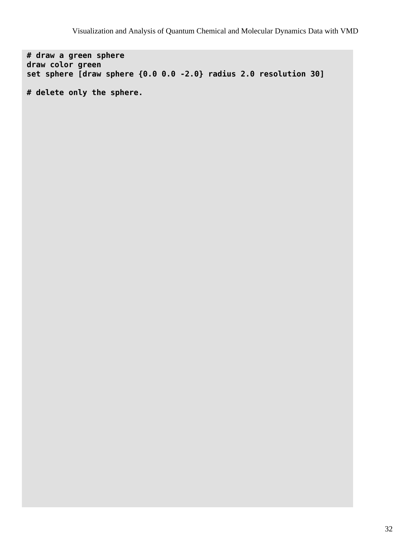**# draw a green sphere draw color green set sphere [draw sphere {0.0 0.0 -2.0} radius 2.0 resolution 30]**

**# delete only the sphere.**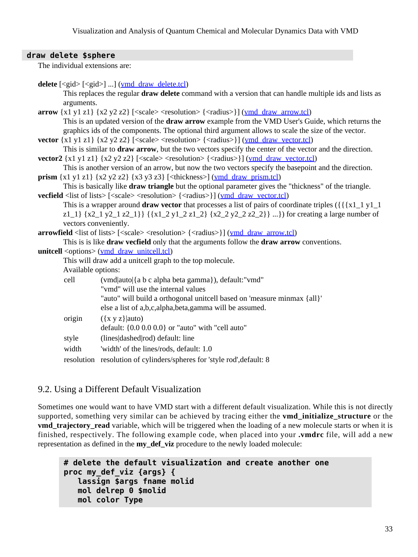#### **draw delete \$sphere**

The individual extensions are:

| This replaces the regular <b>draw delete</b> command with a version that can handle multiple ids and lists as<br>arguments.                                                                        |  |  |  |  |  |  |
|----------------------------------------------------------------------------------------------------------------------------------------------------------------------------------------------------|--|--|--|--|--|--|
|                                                                                                                                                                                                    |  |  |  |  |  |  |
|                                                                                                                                                                                                    |  |  |  |  |  |  |
| $arrow \{x1 y1 z1\} \{x2 y2 z2\}$ [ <scale> <resolution> {<radius>}] (<math>vm draw arrow.tcl</math>)</radius></resolution></scale>                                                                |  |  |  |  |  |  |
| This is an updated version of the <b>draw arrow</b> example from the VMD User's Guide, which returns the                                                                                           |  |  |  |  |  |  |
| graphics ids of the components. The optional third argument allows to scale the size of the vector.                                                                                                |  |  |  |  |  |  |
| <b>vector</b> $\{x1 y1 z1\} \{x2 y2 z2\}$ $\{\text{ }}$ $\{\text{ }x\text{ }y\text{ }z\} \}$ $\{\text{ }x\text{ }y\text{ }z\}$ $\{\text{ }x\text{ }y\text{ }z\}$ $\{\text{ }x\text{ }y\text{ }z\}$ |  |  |  |  |  |  |
| This is similar to <b>draw arrow</b> , but the two vectors specify the center of the vector and the direction.                                                                                     |  |  |  |  |  |  |
| <b>vector2</b> $\{x1 y1 z1\} \{x2 y2 z2\}$ $\{\text{scale}\}\$ $\{\text{resolution}\}\$ $\{\text{radius}\}\$ $\{\text{ymd draw vector.}$                                                           |  |  |  |  |  |  |
| This is another version of an arrow, but now the two vectors specify the basepoint and the direction.                                                                                              |  |  |  |  |  |  |
| <b>prism</b> $\{x1 \text{ y1 z1}\}\$ $\{x2 \text{ y2 z2}\}\$ $\{x3 \text{ y3 z3}\}\$ [ <thickness>] (ymd draw prism.tcl)</thickness>                                                               |  |  |  |  |  |  |
| This is basically like <b>draw triangle</b> but the optional parameter gives the "thickness" of the triangle.                                                                                      |  |  |  |  |  |  |
| <b>vecfield</b> <list lists="" of=""> [<scale> <resolution> {<radius>}] (<u>vmd draw vector.tcl</u>)</radius></resolution></scale></list>                                                          |  |  |  |  |  |  |
|                                                                                                                                                                                                    |  |  |  |  |  |  |
| z1_1} {x2_1 y2_1 z2_1}} {{x1_2 y1_2 z1_2} {x2_2 y2_2 z2_2}} }) for creating a large number of                                                                                                      |  |  |  |  |  |  |
| vectors conveniently.                                                                                                                                                                              |  |  |  |  |  |  |
| <b>arrowfield</b> < list of lists> $\left[ \langle \text{scale} \rangle \langle \text{resolution} \rangle \left[ \langle \text{radius} \rangle \right] \right]$ ( <i>ymd draw arrow.tcl)</i>       |  |  |  |  |  |  |
| This is is like draw vecfield only that the arguments follow the draw arrow conventions.                                                                                                           |  |  |  |  |  |  |
| unitcell <options> (ymd draw unitcell.tcl)</options>                                                                                                                                               |  |  |  |  |  |  |
| This will draw add a unitcell graph to the top molecule.                                                                                                                                           |  |  |  |  |  |  |
| Available options:                                                                                                                                                                                 |  |  |  |  |  |  |
| cell<br>(vmd auto {a b c alpha beta gamma}), default:"vmd"                                                                                                                                         |  |  |  |  |  |  |
| "vmd" will use the internal values                                                                                                                                                                 |  |  |  |  |  |  |
| "auto" will build a orthogonal unitcell based on 'measure minmax {all}'                                                                                                                            |  |  |  |  |  |  |
| else a list of a,b,c,alpha,beta,gamma will be assumed.                                                                                                                                             |  |  |  |  |  |  |
| origin<br>$({x y z}$   auto)                                                                                                                                                                       |  |  |  |  |  |  |
| default: $\{0.0\,0.0\,0.0\}$ or "auto" with "cell auto"                                                                                                                                            |  |  |  |  |  |  |
| style<br>(lines dashed rod) default: line                                                                                                                                                          |  |  |  |  |  |  |
| width<br>'width' of the lines/rods, default: 1.0                                                                                                                                                   |  |  |  |  |  |  |
| resolution resolution of cylinders/spheres for 'style rod', default: 8                                                                                                                             |  |  |  |  |  |  |
|                                                                                                                                                                                                    |  |  |  |  |  |  |

### <span id="page-32-0"></span>9.2. Using a Different Default Visualization

Sometimes one would want to have VMD start with a different default visualization. While this is not directly supported, something very similar can be achieved by tracing either the **vmd\_initialize\_structure** or the **vmd\_trajectory\_read** variable, which will be triggered when the loading of a new molecule starts or when it is finished, respectively. The following example code, when placed into your **.vmdrc** file, will add a new representation as defined in the **my\_def\_viz** procedure to the newly loaded molecule:

```
# delete the default visualization and create another one
proc my_def_viz {args} {
    lassign $args fname molid
    mol delrep 0 $molid
    mol color Type
```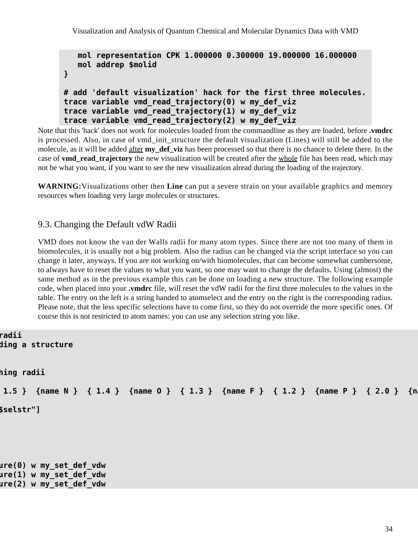Visualization and Analysis of Quantum Chemical and Molecular Dynamics Data with VMD

```
 mol representation CPK 1.000000 0.300000 19.000000 16.000000
    mol addrep $molid
}
# add 'default visualization' hack for the first three molecules.
trace variable vmd_read_trajectory(0) w my_def_viz
trace variable vmd_read_trajectory(1) w my_def_viz
trace variable vmd_read_trajectory(2) w my_def_viz
```
Note that this 'hack' does not work for molecules loaded from the commandline as they are loaded, before **.vmdrc** is processed. Also, in case of vmd init structure the default visualization (Lines) will still be added to the molecule, as it will be added after **my\_def\_viz** has been processed so that there is no chance to delete there. In the case of **vmd\_read\_trajectory** the new visualization will be created after the whole file has been read, which may not be what you want, if you want to see the new visualization alread during the loading of the trajectory.

**WARNING:**Visualizations other then **Line** can put a severe strain on your available graphics and memory resources when loading very large molecules or structures.

### <span id="page-33-0"></span>9.3. Changing the Default vdW Radii

VMD does not know the van der Walls radii for many atom types. Since there are not too many of them in biomolecules, it is usually not a big problem. Also the radius can be changed via the script interface so you can change it later, anyways. If you are not working on/with biomolecules, that can become somewhat cumbersome, to always have to reset the values to what you want, so one may want to change the defaults. Using (almost) the same method as in the previous example this can be done on loading a new structure. The following example code, when placed into your **.vmdrc** file, will reset the vdW radii for the first three molecules to the values in the table. The entry on the left is a string handed to atomselect and the entry on the right is the corresponding radius. Please note, that the less specific selections have to come first, so they do not override the more specific ones. Of course this is not restricted to atom names: you can use any selection string you like.

```
radii
                                     # function to apply the radii on loading a structure
```

```
hing radii
```

```
 {name H } { 1.0 } {name C } { 1.5 } {name N } { 1.4 } {name O } { 1.3 } {name F } { 1.2 } {name P } { 2.0 } {name S } { 1.9 } {name Cl} { 2.5 } }
 set my_sel [atomselect $molid "$selstr"]
```
**trace variable vmd\_initialize\_structure(0) w my\_set\_def\_vdw trace variable vmd\_initialize\_structure(1) w my\_set\_def\_vdw trace variable vmd\_initialize\_structure(2) w my\_set\_def\_vdw**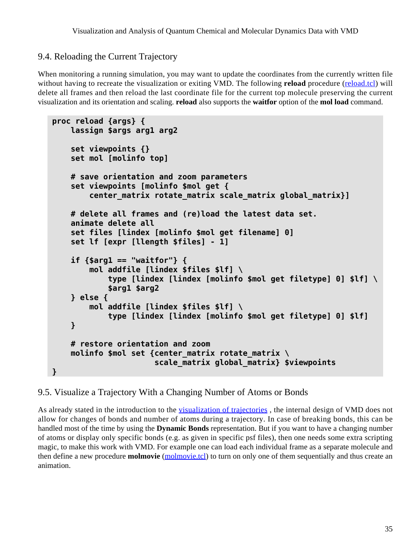## <span id="page-34-0"></span>9.4. Reloading the Current Trajectory

When monitoring a running simulation, you may want to update the coordinates from the currently written file without having to recreate the visualization or exiting VMD. The following **reload** procedure (reload.tcl) will delete all frames and then reload the last coordinate file for the current top molecule preserving the current visualization and its orientation and scaling. **reload** also supports the **waitfor** option of the **mol load** command.

```
proc reload {args} {
     lassign $args arg1 arg2
     set viewpoints {}
     set mol [molinfo top]
     # save orientation and zoom parameters
     set viewpoints [molinfo $mol get {
         center_matrix rotate_matrix scale_matrix global_matrix}]
     # delete all frames and (re)load the latest data set.
     animate delete all
     set files [lindex [molinfo $mol get filename] 0]
     set lf [expr [llength $files] - 1]
     if {$arg1 == "waitfor"} {
         mol addfile [lindex $files $lf] \
             type [lindex [lindex [molinfo $mol get filetype] 0] $lf] \
             $arg1 $arg2
     } else {
         mol addfile [lindex $files $lf] \
             type [lindex [lindex [molinfo $mol get filetype] 0] $lf]
     }
     # restore orientation and zoom
     molinfo $mol set {center_matrix rotate_matrix \
                        scale_matrix global_matrix} $viewpoints
}
```
## <span id="page-34-2"></span><span id="page-34-1"></span>9.5. Visualize a Trajectory With a Changing Number of Atoms or Bonds

As already stated in the introduction to the [visualization of trajectories](#page-6-2), the internal design of VMD does not allow for changes of bonds and number of atoms during a trajectory. In case of breaking bonds, this can be handled most of the time by using the **Dynamic Bonds** representation. But if you want to have a changing number of atoms or display only specific bonds (e.g. as given in specific psf files), then one needs some extra scripting magic, to make this work with VMD. For example one can load each individual frame as a separate molecule and then define a new procedure **molmovie** (molmovie.tcl) to turn on only one of them sequentially and thus create an animation.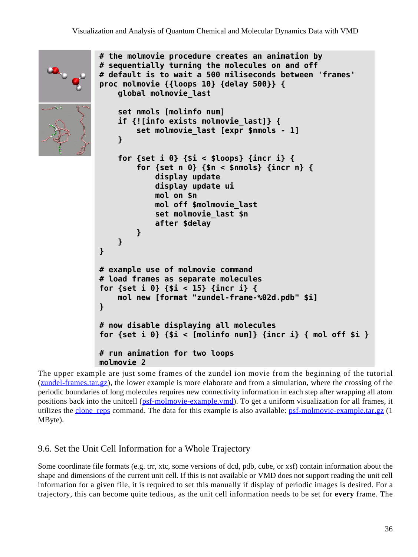```
# the molmovie procedure creates an animation by
# sequentially turning the molecules on and off
# default is to wait a 500 miliseconds between 'frames'
proc molmovie {{loops 10} {delay 500}} {
     global molmovie_last
     set nmols [molinfo num]
     if {![info exists molmovie_last]} {
         set molmovie_last [expr $nmols - 1]
     }
     for {set i 0} {$i < $loops} {incr i} {
         for {set n 0} {$n < $nmols} {incr n} {
             display update
             display update ui
             mol on $n
             mol off $molmovie_last
             set molmovie_last $n
             after $delay
         }
     }
}
# example use of molmovie command
# load frames as separate molecules
for {set i 0} {$i < 15} {incr i} {
     mol new [format "zundel-frame-%02d.pdb" $i]
}
# now disable displaying all molecules
for {set i 0} {$i < [molinfo num]} {incr i} { mol off $i }
# run animation for two loops
molmovie 2
```
The upper example are just some frames of the zundel ion movie from the beginning of the tutorial (zundel-frames.tar.gz), the lower example is more elaborate and from a simulation, where the crossing of the periodic boundaries of long molecules requires new connectivity information in each step after wrapping all atom positions back into the unitcell (psf-molmovie-example.vmd). To get a uniform visualization for all frames, it utilizes the clone reps command. The data for this example is also available: psf-molmovie-example.tar.gz (1) MByte).

## <span id="page-35-0"></span>9.6. Set the Unit Cell Information for a Whole Trajectory

Some coordinate file formats (e.g. trr, xtc, some versions of dcd, pdb, cube, or xsf) contain information about the shape and dimensions of the current unit cell. If this is not available or VMD does not support reading the unit cell information for a given file, it is required to set this manually if display of periodic images is desired. For a trajectory, this can become quite tedious, as the unit cell information needs to be set for **every** frame. The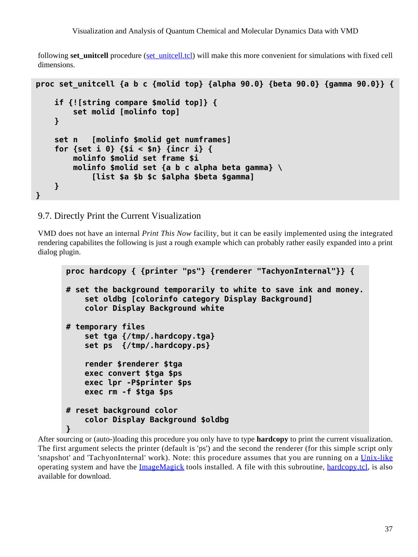following **set unitcell** procedure (set unitcell.tcl) will make this more convenient for simulations with fixed cell dimensions.

```
proc set_unitcell {a b c {molid top} {alpha 90.0} {beta 90.0} {gamma 90.0}} {
     if {![string compare $molid top]} {
         set molid [molinfo top]
     }
     set n [molinfo $molid get numframes]
     for {set i 0} {$i < $n} {incr i} {
         molinfo $molid set frame $i
         molinfo $molid set {a b c alpha beta gamma} \
             [list $a $b $c $alpha $beta $gamma]
     }
}
```
#### <span id="page-36-0"></span>9.7. Directly Print the Current Visualization

VMD does not have an internal *Print This Now* facility, but it can be easily implemented using the integrated rendering capabilites the following is just a rough example which can probably rather easily expanded into a print dialog plugin.

```
proc hardcopy { {printer "ps"} {renderer "TachyonInternal"}} {
# set the background temporarily to white to save ink and money.
     set oldbg [colorinfo category Display Background]
     color Display Background white
# temporary files
     set tga {/tmp/.hardcopy.tga}
     set ps {/tmp/.hardcopy.ps}
     render $renderer $tga
     exec convert $tga $ps
     exec lpr -P$printer $ps
     exec rm -f $tga $ps
# reset background color
     color Display Background $oldbg
}
```
<span id="page-36-1"></span>After sourcing or (auto-)loading this procedure you only have to type **hardcopy** to print the current visualization. The first argument selects the printer (default is 'ps') and the second the renderer (for this simple script only 'snapshot' and 'TachyonInternal' work). Note: this procedure assumes that you are running on a [Unix-like](http://www.unix.org/) operating system and have the [ImageMagick](http://www.imagemagick.org/) tools installed. A file with this subroutine, hardcopy.tcl, is also available for download.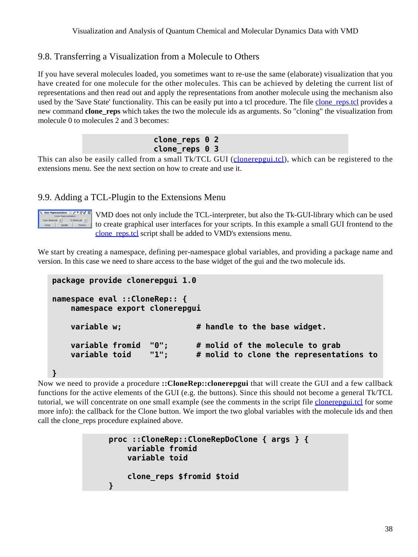## <span id="page-37-0"></span>9.8. Transferring a Visualization from a Molecule to Others

If you have several molecules loaded, you sometimes want to re-use the same (elaborate) visualization that you have created for one molecule for the other molecules. This can be achieved by deleting the current list of representations and then read out and apply the representations from another molecule using the mechanism also used by the 'Save State' functionality. This can be easily put into a tcl procedure. The file clone reps.tcl provides a new command **clone** reps which takes the two the molecule ids as arguments. So "cloning" the visualization from molecule 0 to molecules 2 and 3 becomes:

| clone_reps 0 2  |  |  |
|-----------------|--|--|
| clone reps $03$ |  |  |

This can also be easily called from a small Tk/TCL GUI (*clonerepgui.tcl*), which can be registered to the extensions menu. See the next section on how to create and use it.

## <span id="page-37-2"></span><span id="page-37-1"></span>9.9. Adding a TCL-Plugin to the Extensions Menu



VMD does not only include the TCL-interpreter, but also the Tk-GUI-library which can be used to create graphical user interfaces for your scripts. In this example a small GUI frontend to the clone reps.tcl script shall be added to VMD's extensions menu.

We start by creating a namespace, defining per-namespace global variables, and providing a package name and version. In this case we need to share access to the base widget of the gui and the two molecule ids.

```
package provide clonerepgui 1.0
namespace eval ::CloneRep:: {
     namespace export clonerepgui
    variable w; \qquad \qquad \qquad # handle to the base widget.
     variable fromid "0"; # molid of the molecule to grab
     variable toid "1"; # molid to clone the representations to
}
```
Now we need to provide a procedure **::CloneRep::clonerepgui** that will create the GUI and a few callback functions for the active elements of the GUI (e.g. the buttons). Since this should not become a general Tk/TCL tutorial, we will concentrate on one small example (see the comments in the script file clonerepgui.tcl for some more info): the callback for the Clone button. We import the two global variables with the molecule ids and then call the clone\_reps procedure explained above.

```
proc ::CloneRep::CloneRepDoClone { args } {
     variable fromid
     variable toid
     clone_reps $fromid $toid
}
```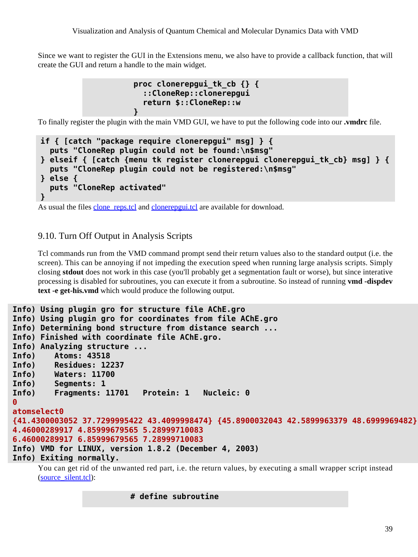Since we want to register the GUI in the Extensions menu, we also have to provide a callback function, that will create the GUI and return a handle to the main widget.

```
proc clonerepgui_tk_cb {} {
   ::CloneRep::clonerepgui
   return $::CloneRep::w
}
```
To finally register the plugin with the main VMD GUI, we have to put the following code into our **.vmdrc** file.

```
if { [catch "package require clonerepgui" msg] } {
   puts "CloneRep plugin could not be found:\n$msg"
} elseif { [catch {menu tk register clonerepgui clonerepgui_tk_cb} msg] } {
   puts "CloneRep plugin could not be registered:\n$msg"
} else {
   puts "CloneRep activated"
}
```
As usual the files clone\_reps.tcl and clonerepgui.tcl are available for download.

### <span id="page-38-0"></span>9.10. Turn Off Output in Analysis Scripts

Tcl commands run from the VMD command prompt send their return values also to the standard output (i.e. the screen). This can be annoying if not impeding the execution speed when running large analysis scripts. Simply closing **stdout** does not work in this case (you'll probably get a segmentation fault or worse), but since interative processing is disabled for subroutines, you can execute it from a subroutine. So instead of running **vmd -dispdev text -e get-his.vmd** which would produce the following output.

```
Info) Using plugin gro for structure file AChE.gro
Info) Using plugin gro for coordinates from file AChE.gro
Info) Determining bond structure from distance search ...
Info) Finished with coordinate file AChE.gro.
Info) Analyzing structure ...
Info) Atoms: 43518
Info) Residues: 12237
Info) Waters: 11700
Info) Segments: 1
Info) Fragments: 11701 Protein: 1 Nucleic: 0
0
atomselect0
{41.4300003052 37.7299995422 43.4099998474} {45.8900032043 42.5899963379 48.6999969482}
4.46000289917 4.85999679565 5.28999710083
6.46000289917 6.85999679565 7.28999710083
Info) VMD for LINUX, version 1.8.2 (December 4, 2003)
Info) Exiting normally.
```
You can get rid of the unwanted red part, i.e. the return values, by executing a small wrapper script instead (source\_silent.tcl):

#### **# define subroutine**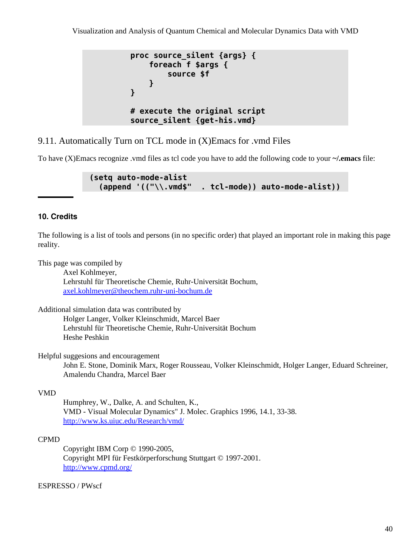```
proc source_silent {args} {
     foreach f $args {
         source $f
     }
}
# execute the original script
source_silent {get-his.vmd}
```
## <span id="page-39-0"></span>9.11. Automatically Turn on TCL mode in (X)Emacs for .vmd Files

To have (X)Emacs recognize .vmd files as tcl code you have to add the following code to your **~/.emacs** file:

```
(setq auto-mode-alist
   (append '(("\\.vmd$" . tcl-mode)) auto-mode-alist))
```
#### <span id="page-39-1"></span>**10. Credits**

The following is a list of tools and persons (in no specific order) that played an important role in making this page reality.

This page was compiled by

Axel Kohlmeyer, Lehrstuhl für Theoretische Chemie, Ruhr-Universität Bochum, [axel.kohlmeyer@theochem.ruhr-uni-bochum.de](mailto:axel.kohlmeyer@theochem.ruhr-uni-bochum.de)

Additional simulation data was contributed by

Holger Langer, Volker Kleinschmidt, Marcel Baer Lehrstuhl für Theoretische Chemie, Ruhr-Universität Bochum Heshe Peshkin

Helpful suggesions and encouragement

John E. Stone, Dominik Marx, Roger Rousseau, Volker Kleinschmidt, Holger Langer, Eduard Schreiner, Amalendu Chandra, Marcel Baer

#### VMD

Humphrey, W., Dalke, A. and Schulten, K., VMD - Visual Molecular Dynamics" J. Molec. Graphics 1996, 14.1, 33-38. <http://www.ks.uiuc.edu/Research/vmd/>

#### CPMD

Copyright IBM Corp © 1990-2005, Copyright MPI für Festkörperforschung Stuttgart © 1997-2001. <http://www.cpmd.org/>

ESPRESSO / PWscf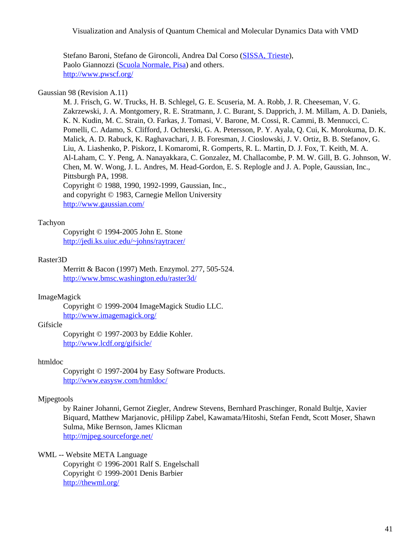Visualization and Analysis of Quantum Chemical and Molecular Dynamics Data with VMD

Stefano Baroni, Stefano de Gironcoli, Andrea Dal Corso [\(SISSA, Trieste](http://www.sissa.it/)), Paolo Giannozzi [\(Scuola Normale, Pisa](http://www.sns.it/)) and others. <http://www.pwscf.org/>

#### Gaussian 98 (Revision A.11)

M. J. Frisch, G. W. Trucks, H. B. Schlegel, G. E. Scuseria, M. A. Robb, J. R. Cheeseman, V. G. Zakrzewski, J. A. Montgomery, R. E. Stratmann, J. C. Burant, S. Dapprich, J. M. Millam, A. D. Daniels, K. N. Kudin, M. C. Strain, O. Farkas, J. Tomasi, V. Barone, M. Cossi, R. Cammi, B. Mennucci, C. Pomelli, C. Adamo, S. Clifford, J. Ochterski, G. A. Petersson, P. Y. Ayala, Q. Cui, K. Morokuma, D. K. Malick, A. D. Rabuck, K. Raghavachari, J. B. Foresman, J. Cioslowski, J. V. Ortiz, B. B. Stefanov, G. Liu, A. Liashenko, P. Piskorz, I. Komaromi, R. Gomperts, R. L. Martin, D. J. Fox, T. Keith, M. A. Al-Laham, C. Y. Peng, A. Nanayakkara, C. Gonzalez, M. Challacombe, P. M. W. Gill, B. G. Johnson, W. Chen, M. W. Wong, J. L. Andres, M. Head-Gordon, E. S. Replogle and J. A. Pople, Gaussian, Inc., Pittsburgh PA, 1998. Copyright © 1988, 1990, 1992-1999, Gaussian, Inc., and copyright © 1983, Carnegie Mellon University

<http://www.gaussian.com/>

#### Tachyon

Copyright © 1994-2005 John E. Stone <http://jedi.ks.uiuc.edu/~johns/raytracer/>

#### Raster3D

Merritt & Bacon (1997) Meth. Enzymol. 277, 505-524. <http://www.bmsc.washington.edu/raster3d/>

#### ImageMagick

Copyright © 1999-2004 ImageMagick Studio LLC. <http://www.imagemagick.org/>

#### **Gifsicle**

Copyright © 1997-2003 by Eddie Kohler. <http://www.lcdf.org/gifsicle/>

#### htmldoc

Copyright © 1997-2004 by Easy Software Products. <http://www.easysw.com/htmldoc/>

#### Mjpegtools

by Rainer Johanni, Gernot Ziegler, Andrew Stevens, Bernhard Praschinger, Ronald Bultje, Xavier Biquard, Matthew Marjanovic, pHilipp Zabel, Kawamata/Hitoshi, Stefan Fendt, Scott Moser, Shawn Sulma, Mike Bernson, James Klicman <http://mjpeg.sourceforge.net/>

WML -- Website META Language

Copyright © 1996-2001 Ralf S. Engelschall Copyright © 1999-2001 Denis Barbier <http://thewml.org/>